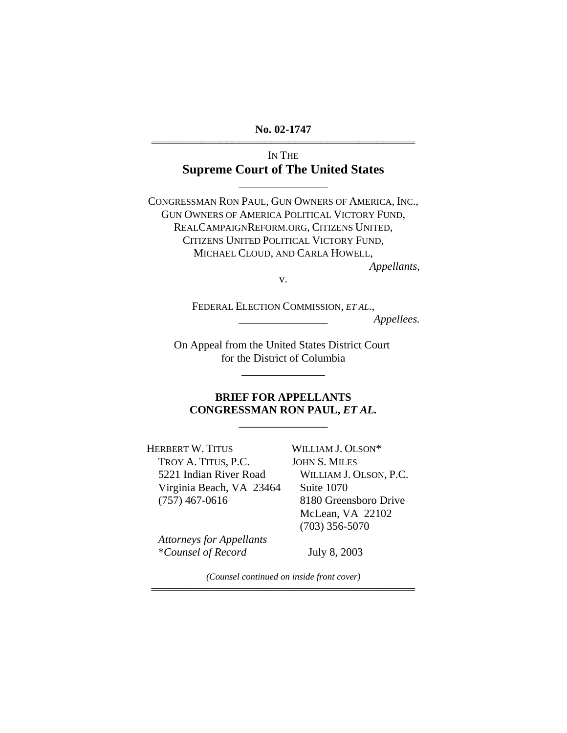**No. 02-1747**  444444444444444444444444444444444444444444

> IN THE **Supreme Court of The United States**

> > \_\_\_\_\_\_\_\_\_\_\_\_\_\_\_\_

CONGRESSMAN RON PAUL, GUN OWNERS OF AMERICA, INC., GUN OWNERS OF AMERICA POLITICAL VICTORY FUND, REALCAMPAIGNREFORM.ORG, CITIZENS UNITED, CITIZENS UNITED POLITICAL VICTORY FUND, MICHAEL CLOUD, AND CARLA HOWELL,

*Appellants*,

v.

FEDERAL ELECTION COMMISSION, *ET AL*., \_\_\_\_\_\_\_\_\_\_\_\_\_\_\_\_ *Appellees.* 

On Appeal from the United States District Court for the District of Columbia

\_\_\_\_\_\_\_\_\_\_\_\_\_\_\_

## **BRIEF FOR APPELLANTS CONGRESSMAN RON PAUL,** *ET AL.*

\_\_\_\_\_\_\_\_\_\_\_\_\_\_\_\_

HERBERT W. TITUS TROY A. TITUS, P.C. 5221 Indian River Road Virginia Beach, VA 23464 (757) 467-0616

WILLIAM J. OLSON\* JOHN S. MILES WILLIAM J. OLSON, P.C. Suite 1070 8180 Greensboro Drive McLean, VA 22102 (703) 356-5070

*Attorneys for Appellants*  \**Counsel of Record* 

July 8, 2003

*(Counsel continued on inside front cover)*  444444444444444444444444444444444444444444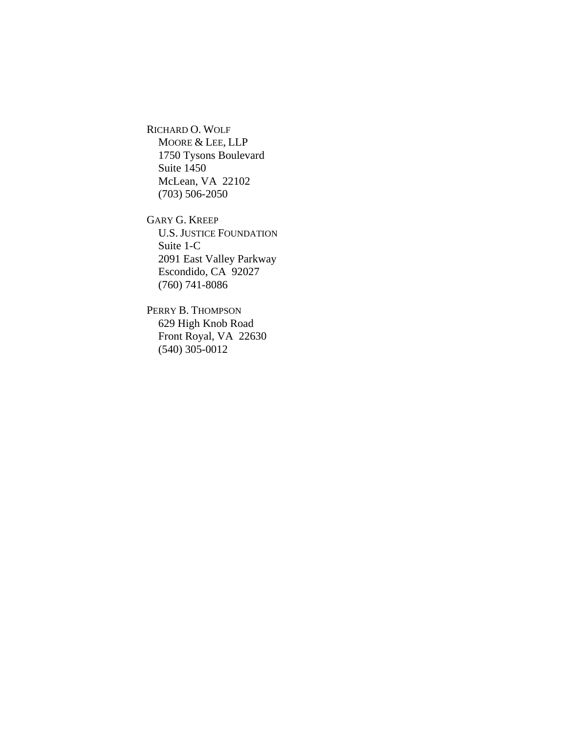RICHARD O. WOLF MOORE & LEE, LLP 1750 Tysons Boulevard Suite 1450 McLean, VA 22102 (703) 506-2050

GARY G. KREEP U.S. JUSTICE FOUNDATION Suite 1-C 2091 East Valley Parkway Escondido, CA 92027 (760) 741-8086

PERRY B. THOMPSON 629 High Knob Road Front Royal, VA 22630 (540) 305-0012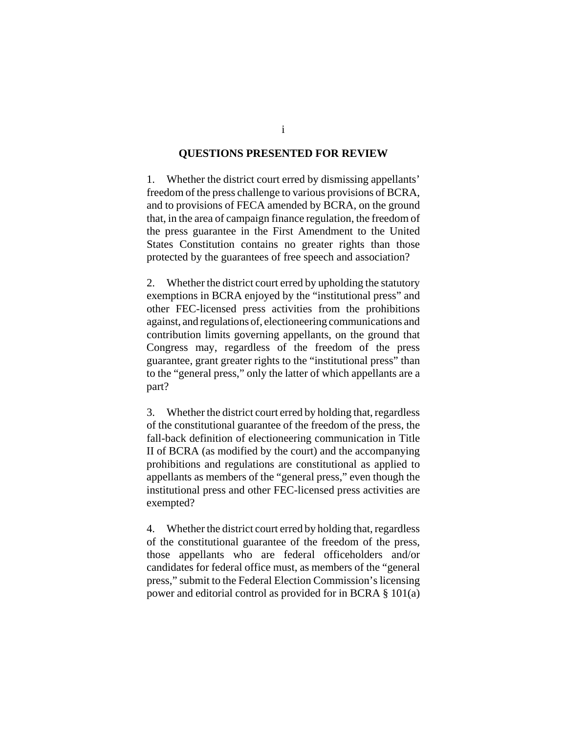#### **QUESTIONS PRESENTED FOR REVIEW**

1. Whether the district court erred by dismissing appellants' freedom of the press challenge to various provisions of BCRA, and to provisions of FECA amended by BCRA, on the ground that, in the area of campaign finance regulation, the freedom of the press guarantee in the First Amendment to the United States Constitution contains no greater rights than those protected by the guarantees of free speech and association?

2. Whether the district court erred by upholding the statutory exemptions in BCRA enjoyed by the "institutional press" and other FEC-licensed press activities from the prohibitions against, and regulations of, electioneering communications and contribution limits governing appellants, on the ground that Congress may, regardless of the freedom of the press guarantee, grant greater rights to the "institutional press" than to the "general press," only the latter of which appellants are a part?

3. Whether the district court erred by holding that, regardless of the constitutional guarantee of the freedom of the press, the fall-back definition of electioneering communication in Title II of BCRA (as modified by the court) and the accompanying prohibitions and regulations are constitutional as applied to appellants as members of the "general press," even though the institutional press and other FEC-licensed press activities are exempted?

4. Whether the district court erred by holding that, regardless of the constitutional guarantee of the freedom of the press, those appellants who are federal officeholders and/or candidates for federal office must, as members of the "general press," submit to the Federal Election Commission's licensing power and editorial control as provided for in BCRA § 101(a)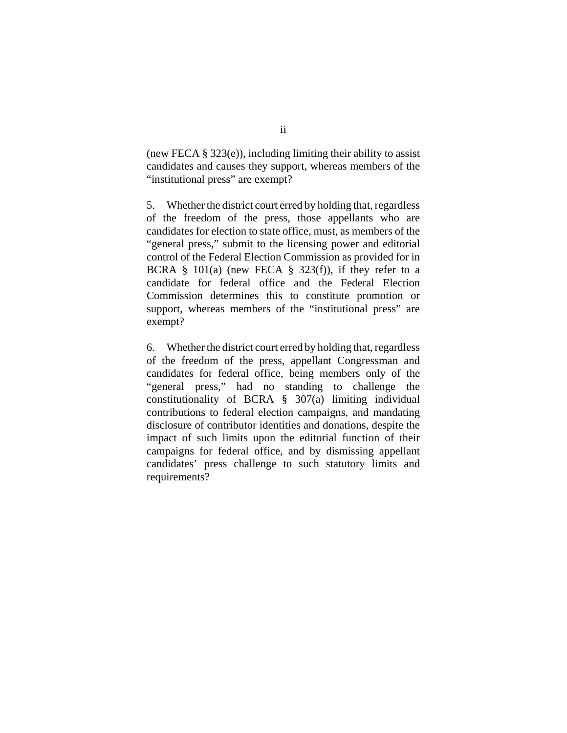(new FECA  $\S$  323(e)), including limiting their ability to assist candidates and causes they support, whereas members of the "institutional press" are exempt?

5. Whether the district court erred by holding that, regardless of the freedom of the press, those appellants who are candidates for election to state office, must, as members of the "general press," submit to the licensing power and editorial control of the Federal Election Commission as provided for in BCRA  $\S$  101(a) (new FECA  $\S$  323(f)), if they refer to a candidate for federal office and the Federal Election Commission determines this to constitute promotion or support, whereas members of the "institutional press" are exempt?

6. Whether the district court erred by holding that, regardless of the freedom of the press, appellant Congressman and candidates for federal office, being members only of the "general press," had no standing to challenge the constitutionality of BCRA § 307(a) limiting individual contributions to federal election campaigns, and mandating disclosure of contributor identities and donations, despite the impact of such limits upon the editorial function of their campaigns for federal office, and by dismissing appellant candidates' press challenge to such statutory limits and requirements?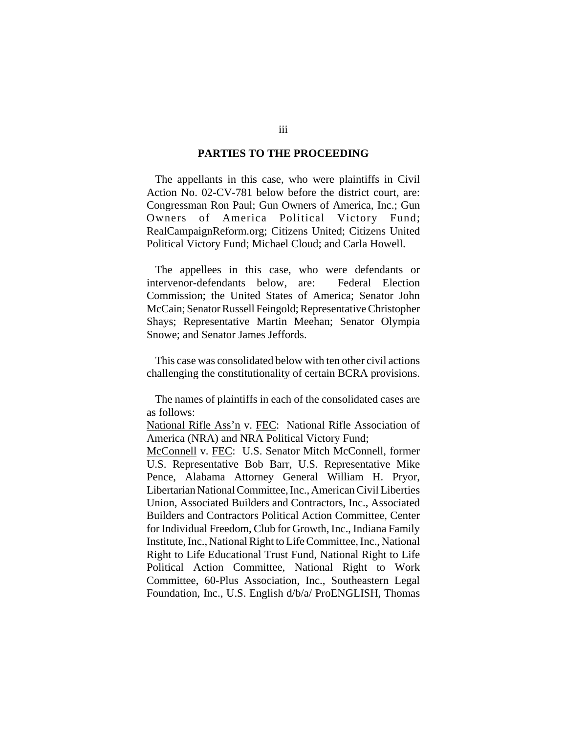#### **PARTIES TO THE PROCEEDING**

The appellants in this case, who were plaintiffs in Civil Action No. 02-CV-781 below before the district court, are: Congressman Ron Paul; Gun Owners of America, Inc.; Gun Owners of America Political Victory Fund; RealCampaignReform.org; Citizens United; Citizens United Political Victory Fund; Michael Cloud; and Carla Howell.

The appellees in this case, who were defendants or intervenor-defendants below, are: Federal Election Commission; the United States of America; Senator John McCain; Senator Russell Feingold; Representative Christopher Shays; Representative Martin Meehan; Senator Olympia Snowe; and Senator James Jeffords.

This case was consolidated below with ten other civil actions challenging the constitutionality of certain BCRA provisions.

The names of plaintiffs in each of the consolidated cases are as follows:

National Rifle Ass'n v. FEC: National Rifle Association of America (NRA) and NRA Political Victory Fund;

McConnell v. FEC: U.S. Senator Mitch McConnell, former U.S. Representative Bob Barr, U.S. Representative Mike Pence, Alabama Attorney General William H. Pryor, Libertarian National Committee, Inc., American Civil Liberties Union, Associated Builders and Contractors, Inc., Associated Builders and Contractors Political Action Committee, Center for Individual Freedom, Club for Growth, Inc., Indiana Family Institute, Inc., National Right to Life Committee, Inc., National Right to Life Educational Trust Fund, National Right to Life Political Action Committee, National Right to Work Committee, 60-Plus Association, Inc., Southeastern Legal Foundation, Inc., U.S. English d/b/a/ ProENGLISH, Thomas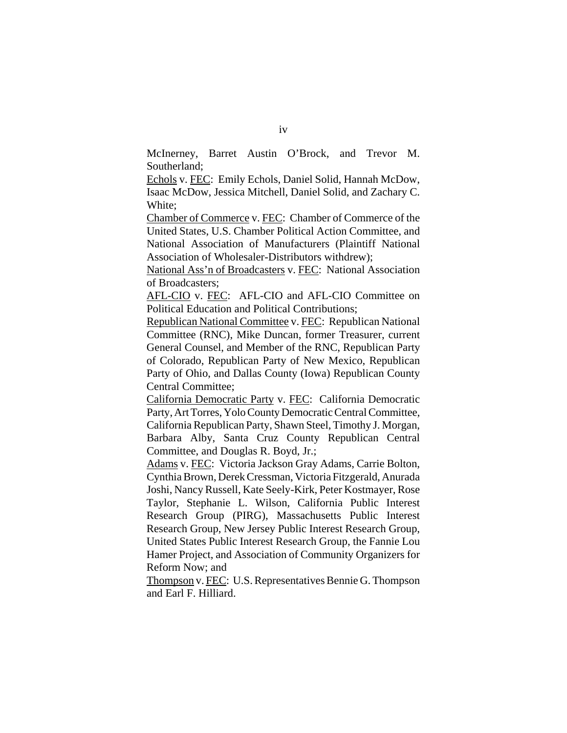McInerney, Barret Austin O'Brock, and Trevor M. Southerland;

Echols v. FEC: Emily Echols, Daniel Solid, Hannah McDow, Isaac McDow, Jessica Mitchell, Daniel Solid, and Zachary C. White;

Chamber of Commerce v. FEC: Chamber of Commerce of the United States, U.S. Chamber Political Action Committee, and National Association of Manufacturers (Plaintiff National Association of Wholesaler-Distributors withdrew);

National Ass'n of Broadcasters v. FEC: National Association of Broadcasters;

AFL-CIO v. FEC: AFL-CIO and AFL-CIO Committee on Political Education and Political Contributions;

Republican National Committee v. FEC: Republican National Committee (RNC), Mike Duncan, former Treasurer, current General Counsel, and Member of the RNC, Republican Party of Colorado, Republican Party of New Mexico, Republican Party of Ohio, and Dallas County (Iowa) Republican County Central Committee;

California Democratic Party v. FEC: California Democratic Party, Art Torres, Yolo County Democratic Central Committee, California Republican Party, Shawn Steel, Timothy J. Morgan, Barbara Alby, Santa Cruz County Republican Central Committee, and Douglas R. Boyd, Jr.;

Adams v. FEC: Victoria Jackson Gray Adams, Carrie Bolton, Cynthia Brown, Derek Cressman, Victoria Fitzgerald, Anurada Joshi, Nancy Russell, Kate Seely-Kirk, Peter Kostmayer, Rose Taylor, Stephanie L. Wilson, California Public Interest Research Group (PIRG), Massachusetts Public Interest Research Group, New Jersey Public Interest Research Group, United States Public Interest Research Group, the Fannie Lou Hamer Project, and Association of Community Organizers for Reform Now; and

Thompson v. FEC: U.S. Representatives Bennie G. Thompson and Earl F. Hilliard.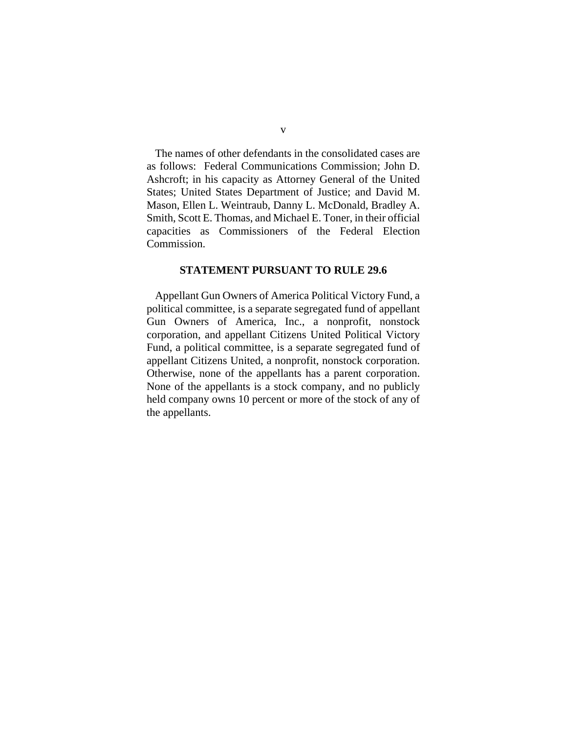The names of other defendants in the consolidated cases are as follows: Federal Communications Commission; John D. Ashcroft; in his capacity as Attorney General of the United States; United States Department of Justice; and David M. Mason, Ellen L. Weintraub, Danny L. McDonald, Bradley A. Smith, Scott E. Thomas, and Michael E. Toner, in their official capacities as Commissioners of the Federal Election Commission.

#### **STATEMENT PURSUANT TO RULE 29.6**

Appellant Gun Owners of America Political Victory Fund, a political committee, is a separate segregated fund of appellant Gun Owners of America, Inc., a nonprofit, nonstock corporation, and appellant Citizens United Political Victory Fund, a political committee, is a separate segregated fund of appellant Citizens United, a nonprofit, nonstock corporation. Otherwise, none of the appellants has a parent corporation. None of the appellants is a stock company, and no publicly held company owns 10 percent or more of the stock of any of the appellants.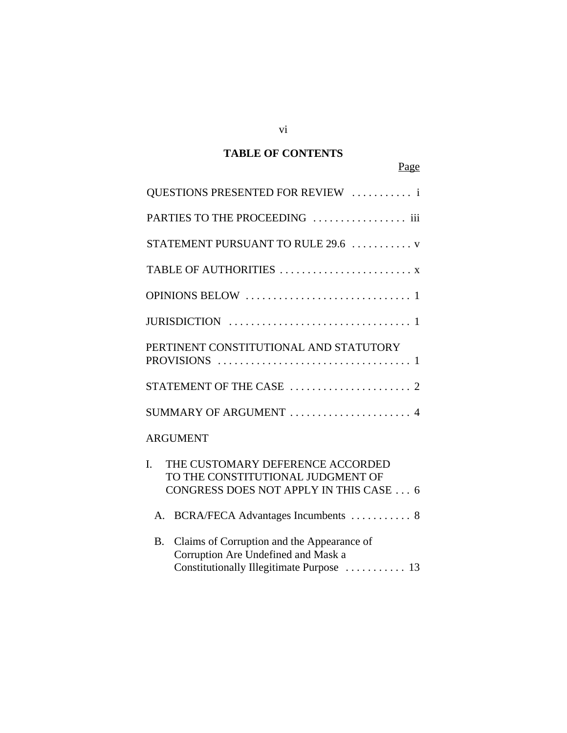# **TABLE OF CONTENTS**

Page

| QUESTIONS PRESENTED FOR REVIEW  i                                                                                                  |
|------------------------------------------------------------------------------------------------------------------------------------|
| PARTIES TO THE PROCEEDING  iii                                                                                                     |
| STATEMENT PURSUANT TO RULE 29.6  v                                                                                                 |
|                                                                                                                                    |
|                                                                                                                                    |
|                                                                                                                                    |
| PERTINENT CONSTITUTIONAL AND STATUTORY                                                                                             |
|                                                                                                                                    |
| SUMMARY OF ARGUMENT  4                                                                                                             |
| <b>ARGUMENT</b>                                                                                                                    |
| $\mathbf{I}$ .<br>THE CUSTOMARY DEFERENCE ACCORDED<br>TO THE CONSTITUTIONAL JUDGMENT OF<br>CONGRESS DOES NOT APPLY IN THIS CASE  6 |
| BCRA/FECA Advantages Incumbents  8<br>А.                                                                                           |
| Claims of Corruption and the Appearance of<br><b>B.</b><br>Corruption Are Undefined and Mask a                                     |

Constitutionally Illegitimate Purpose ........... 13

vi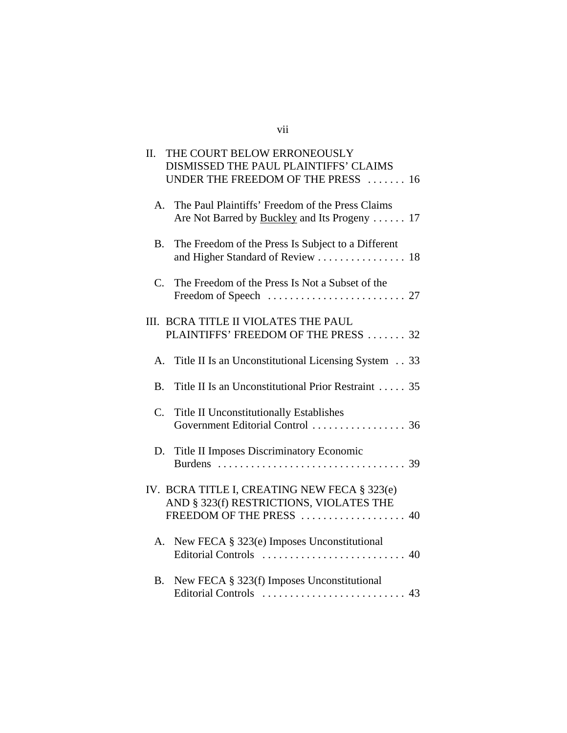# vii

| Π.          | THE COURT BELOW ERRONEOUSLY<br>DISMISSED THE PAUL PLAINTIFFS' CLAIMS<br>UNDER THE FREEDOM OF THE PRESS  16          |
|-------------|---------------------------------------------------------------------------------------------------------------------|
| A.          | The Paul Plaintiffs' Freedom of the Press Claims<br>Are Not Barred by Buckley and Its Progeny  17                   |
| <b>B.</b>   | The Freedom of the Press Is Subject to a Different                                                                  |
| $C_{\cdot}$ | The Freedom of the Press Is Not a Subset of the                                                                     |
|             | III. BCRA TITLE II VIOLATES THE PAUL<br>PLAINTIFFS' FREEDOM OF THE PRESS  32                                        |
| A.          | Title II Is an Unconstitutional Licensing System 33                                                                 |
| <b>B.</b>   | Title II Is an Unconstitutional Prior Restraint  35                                                                 |
| C.          | <b>Title II Unconstitutionally Establishes</b>                                                                      |
|             | D. Title II Imposes Discriminatory Economic                                                                         |
|             | IV. BCRA TITLE I, CREATING NEW FECA § 323(e)<br>AND § 323(f) RESTRICTIONS, VIOLATES THE<br>FREEDOM OF THE PRESS  40 |
| A.          | New FECA § 323(e) Imposes Unconstitutional                                                                          |
| <b>B.</b>   | New FECA § 323(f) Imposes Unconstitutional                                                                          |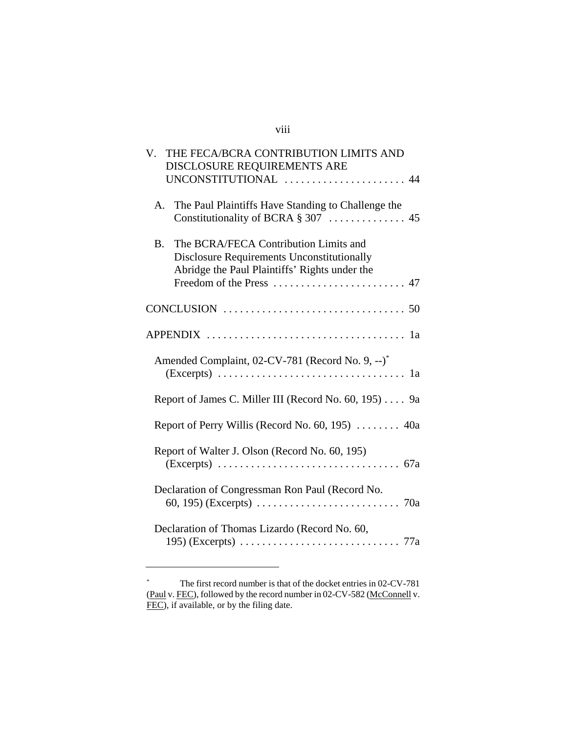# viii

| THE FECA/BCRA CONTRIBUTION LIMITS AND<br>V.<br>DISCLOSURE REQUIREMENTS ARE                                                                               |
|----------------------------------------------------------------------------------------------------------------------------------------------------------|
| UNCONSTITUTIONAL  44                                                                                                                                     |
| The Paul Plaintiffs Have Standing to Challenge the<br>A.                                                                                                 |
| The BCRA/FECA Contribution Limits and<br><b>B.</b><br><b>Disclosure Requirements Unconstitutionally</b><br>Abridge the Paul Plaintiffs' Rights under the |
|                                                                                                                                                          |
|                                                                                                                                                          |
| Amended Complaint, 02-CV-781 (Record No. 9, --)*<br>1a                                                                                                   |
| Report of James C. Miller III (Record No. 60, 195) 9a                                                                                                    |
| Report of Perry Willis (Record No. 60, 195)  40a                                                                                                         |
| Report of Walter J. Olson (Record No. 60, 195)                                                                                                           |
| Declaration of Congressman Ron Paul (Record No.                                                                                                          |
| Declaration of Thomas Lizardo (Record No. 60,                                                                                                            |

<sup>\*</sup> The first record number is that of the docket entries in 02-CV-781 (Paul v. FEC), followed by the record number in 02-CV-582 (McConnell v. FEC), if available, or by the filing date.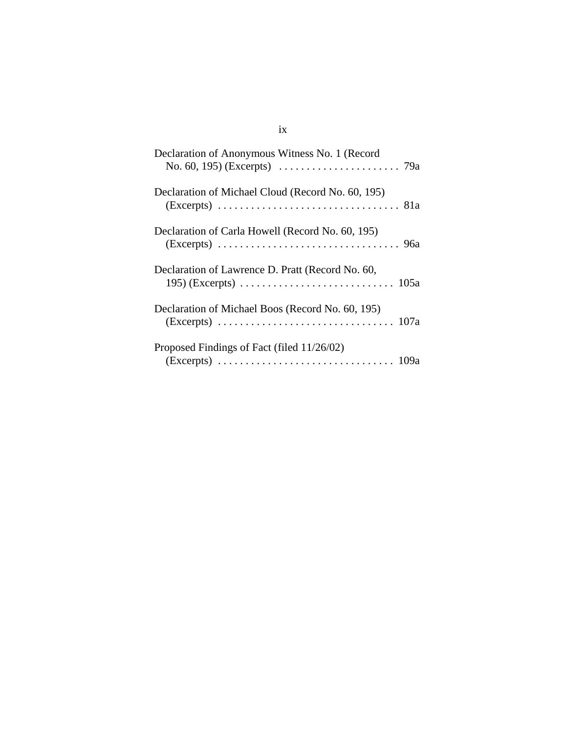# ix

| Declaration of Anonymous Witness No. 1 (Record    |
|---------------------------------------------------|
| Declaration of Michael Cloud (Record No. 60, 195) |
| Declaration of Carla Howell (Record No. 60, 195)  |
| Declaration of Lawrence D. Pratt (Record No. 60,  |
| Declaration of Michael Boos (Record No. 60, 195)  |
| Proposed Findings of Fact (filed 11/26/02)        |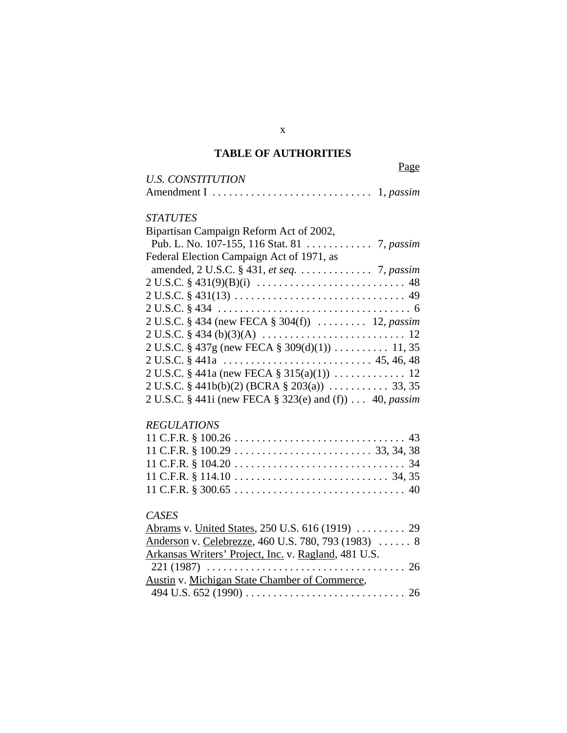# **TABLE OF AUTHORITIES**

Page

| <b>U.S. CONSTITUTION</b> |  |
|--------------------------|--|
|                          |  |

# *STATUTES*

# *REGULATIONS*

# *CASES*

| Abrams v. United States, 250 U.S. 616 (1919)  29     |  |
|------------------------------------------------------|--|
| Anderson v. Celebrezze, 460 U.S. 780, 793 (1983)  8  |  |
| Arkansas Writers' Project, Inc. v. Ragland, 481 U.S. |  |
|                                                      |  |
| Austin v. Michigan State Chamber of Commerce,        |  |
|                                                      |  |

x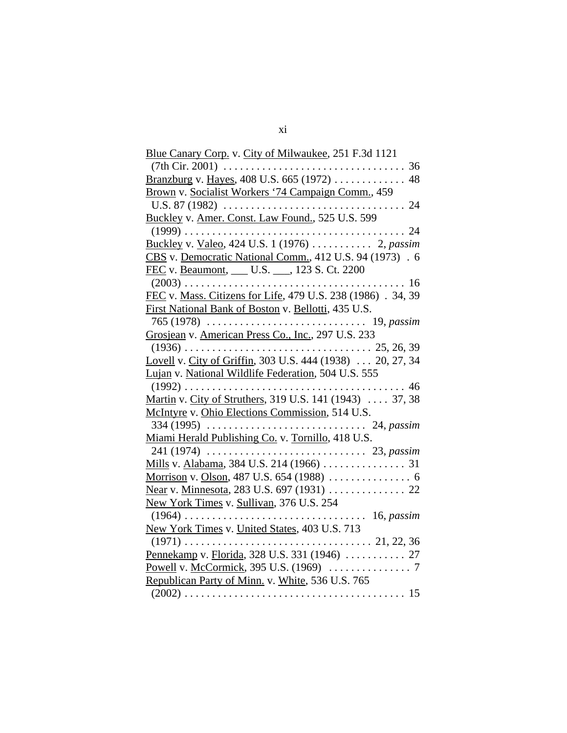| Blue Canary Corp. v. City of Milwaukee, 251 F.3d 1121        |
|--------------------------------------------------------------|
| $(7th Cir. 2001) \ldots$<br>36<br>.<br>.                     |
| Branzburg v. Hayes, 408 U.S. 665 (1972)<br>48                |
| Brown v. Socialist Workers '74 Campaign Comm., 459           |
| U.S. 87 (1982) $\ldots$<br>24                                |
| Buckley v. Amer. Const. Law Found., 525 U.S. 599             |
| $(1999) \ldots$<br>24                                        |
|                                                              |
| CBS v. Democratic National Comm., 412 U.S. 94 (1973) . 6     |
| FEC v. Beaumont, ___ U.S. ___, 123 S. Ct. 2200               |
| 16                                                           |
| FEC v. Mass. Citizens for Life, 479 U.S. 238 (1986) . 34, 39 |
| First National Bank of Boston v. Bellotti, 435 U.S.          |
| 19, passim                                                   |
| Grosjean v. American Press Co., Inc., 297 U.S. 233           |
| $(1936)$<br>$\ldots \ldots \ldots 25, 26, 39$                |
| Lovell v. City of Griffin, 303 U.S. 444 (1938)  20, 27, 34   |
| Lujan v. National Wildlife Federation, 504 U.S. 555          |
|                                                              |
| Martin v. City of Struthers, 319 U.S. 141 (1943)  37, 38     |
| McIntyre v. Ohio Elections Commission, 514 U.S.              |
|                                                              |
| Miami Herald Publishing Co. v. Tornillo, 418 U.S.            |
|                                                              |
|                                                              |
|                                                              |
|                                                              |
| New York Times v. Sullivan, 376 U.S. 254                     |
| $(1964)$<br>$\ldots \ldots \ldots$ 16, passim                |
| New York Times v. United States, 403 U.S. 713                |
|                                                              |
| Pennekamp v. Florida, 328 U.S. 331 (1946)  27                |
|                                                              |
| Republican Party of Minn. v. White, 536 U.S. 765             |
|                                                              |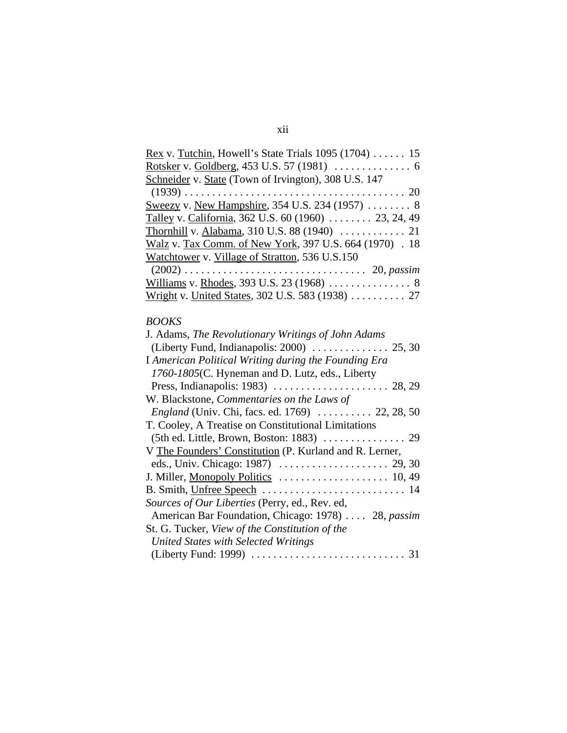| <u>Rex</u> v. Tutchin, Howell's State Trials $1095$ (1704)  15 |
|----------------------------------------------------------------|
|                                                                |
| Schneider v. State (Town of Irvington), 308 U.S. 147           |
|                                                                |
| Sweezy v. New Hampshire, 354 U.S. 234 (1957)  8                |
| Talley v. California, 362 U.S. 60 (1960)  23, 24, 49           |
|                                                                |
| Walz v. Tax Comm. of New York, 397 U.S. 664 (1970) . 18        |
| Watchtower v. Village of Stratton, 536 U.S.150                 |
|                                                                |
|                                                                |
| Wright v. United States, 302 U.S. 583 (1938)  27               |

# *BOOKS*

| J. Adams, The Revolutionary Writings of John Adams      |
|---------------------------------------------------------|
|                                                         |
| I American Political Writing during the Founding Era    |
| 1760-1805(C. Hyneman and D. Lutz, eds., Liberty         |
|                                                         |
| W. Blackstone, Commentaries on the Laws of              |
| <i>England</i> (Univ. Chi, facs. ed. 1769)  22, 28, 50  |
| T. Cooley, A Treatise on Constitutional Limitations     |
|                                                         |
| V The Founders' Constitution (P. Kurland and R. Lerner, |
|                                                         |
|                                                         |
|                                                         |
| Sources of Our Liberties (Perry, ed., Rev. ed,          |
| American Bar Foundation, Chicago: 1978)  28, passim     |
| St. G. Tucker, View of the Constitution of the          |
| <b>United States with Selected Writings</b>             |
|                                                         |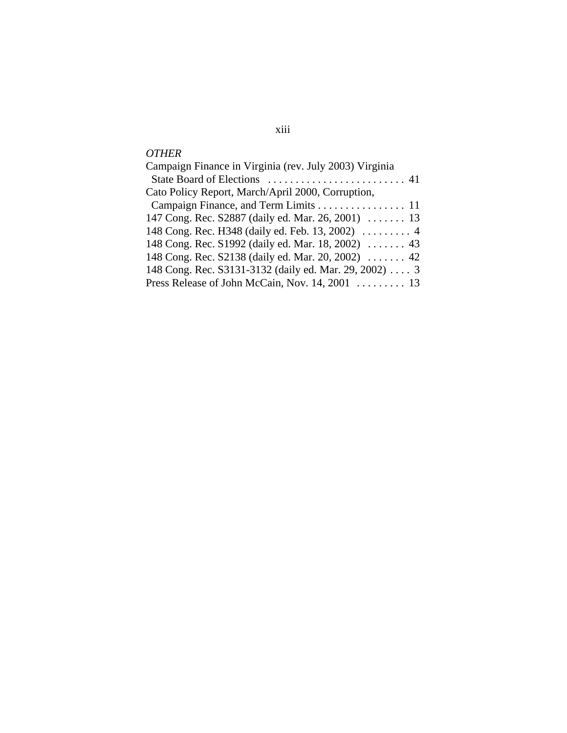# *OTHER*

| Campaign Finance in Virginia (rev. July 2003) Virginia |
|--------------------------------------------------------|
|                                                        |
| Cato Policy Report, March/April 2000, Corruption,      |
| Campaign Finance, and Term Limits 11                   |
| 147 Cong. Rec. S2887 (daily ed. Mar. 26, 2001)  13     |
|                                                        |
| 148 Cong. Rec. S1992 (daily ed. Mar. 18, 2002)  43     |
| 148 Cong. Rec. S2138 (daily ed. Mar. 20, 2002)  42     |
| 148 Cong. Rec. S3131-3132 (daily ed. Mar. 29, 2002)  3 |
| Press Release of John McCain, Nov. 14, 2001  13        |

# xiii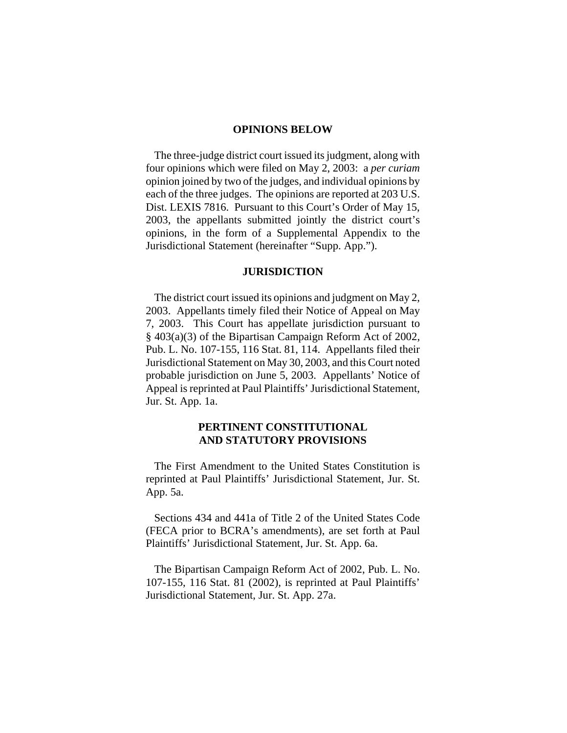#### **OPINIONS BELOW**

The three-judge district court issued its judgment, along with four opinions which were filed on May 2, 2003: a *per curiam*  opinion joined by two of the judges, and individual opinions by each of the three judges. The opinions are reported at 203 U.S. Dist. LEXIS 7816. Pursuant to this Court's Order of May 15, 2003, the appellants submitted jointly the district court's opinions, in the form of a Supplemental Appendix to the Jurisdictional Statement (hereinafter "Supp. App.").

#### **JURISDICTION**

The district court issued its opinions and judgment on May 2, 2003. Appellants timely filed their Notice of Appeal on May 7, 2003. This Court has appellate jurisdiction pursuant to § 403(a)(3) of the Bipartisan Campaign Reform Act of 2002, Pub. L. No. 107-155, 116 Stat. 81, 114. Appellants filed their Jurisdictional Statement on May 30, 2003, and this Court noted probable jurisdiction on June 5, 2003. Appellants' Notice of Appeal is reprinted at Paul Plaintiffs' Jurisdictional Statement, Jur. St. App. 1a.

### **PERTINENT CONSTITUTIONAL AND STATUTORY PROVISIONS**

The First Amendment to the United States Constitution is reprinted at Paul Plaintiffs' Jurisdictional Statement, Jur. St. App. 5a.

Sections 434 and 441a of Title 2 of the United States Code (FECA prior to BCRA's amendments), are set forth at Paul Plaintiffs' Jurisdictional Statement, Jur. St. App. 6a.

The Bipartisan Campaign Reform Act of 2002, Pub. L. No. 107-155, 116 Stat. 81 (2002), is reprinted at Paul Plaintiffs' Jurisdictional Statement, Jur. St. App. 27a.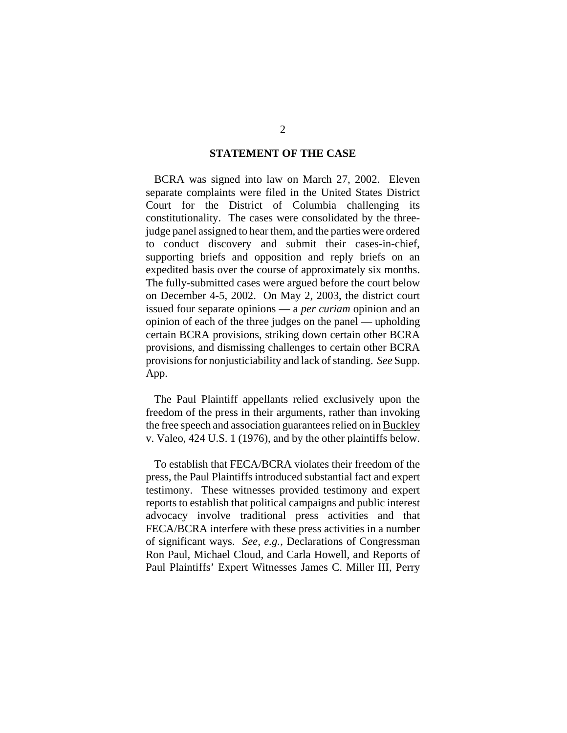#### **STATEMENT OF THE CASE**

BCRA was signed into law on March 27, 2002. Eleven separate complaints were filed in the United States District Court for the District of Columbia challenging its constitutionality. The cases were consolidated by the threejudge panel assigned to hear them, and the parties were ordered to conduct discovery and submit their cases-in-chief, supporting briefs and opposition and reply briefs on an expedited basis over the course of approximately six months. The fully-submitted cases were argued before the court below on December 4-5, 2002. On May 2, 2003, the district court issued four separate opinions — a *per curiam* opinion and an opinion of each of the three judges on the panel — upholding certain BCRA provisions, striking down certain other BCRA provisions, and dismissing challenges to certain other BCRA provisions for nonjusticiability and lack of standing. *See* Supp. App.

The Paul Plaintiff appellants relied exclusively upon the freedom of the press in their arguments, rather than invoking the free speech and association guarantees relied on in Buckley v. Valeo, 424 U.S. 1 (1976), and by the other plaintiffs below.

To establish that FECA/BCRA violates their freedom of the press, the Paul Plaintiffs introduced substantial fact and expert testimony. These witnesses provided testimony and expert reports to establish that political campaigns and public interest advocacy involve traditional press activities and that FECA/BCRA interfere with these press activities in a number of significant ways. *See, e.g.*, Declarations of Congressman Ron Paul, Michael Cloud, and Carla Howell, and Reports of Paul Plaintiffs' Expert Witnesses James C. Miller III, Perry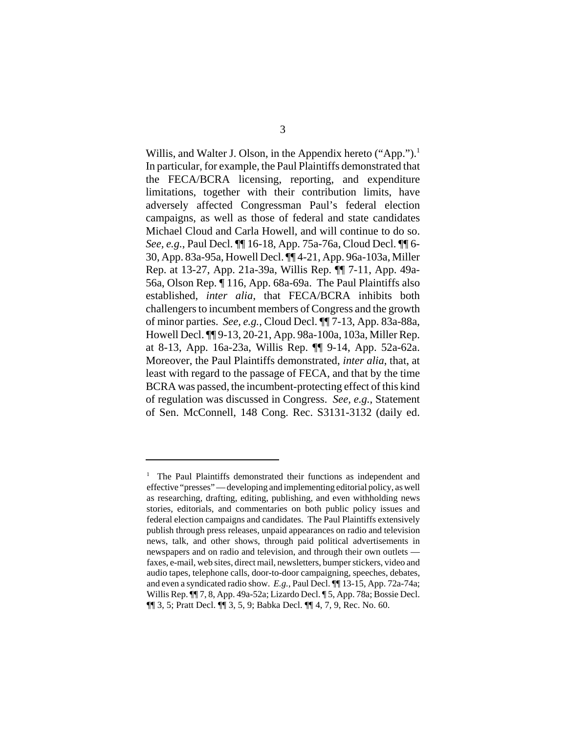Willis, and Walter J. Olson, in the Appendix hereto ("App.").<sup>1</sup> In particular, for example, the Paul Plaintiffs demonstrated that the FECA/BCRA licensing, reporting, and expenditure limitations, together with their contribution limits, have adversely affected Congressman Paul's federal election campaigns, as well as those of federal and state candidates Michael Cloud and Carla Howell, and will continue to do so. *See, e.g.*, Paul Decl. ¶¶ 16-18, App. 75a-76a, Cloud Decl. ¶¶ 6- 30, App. 83a-95a, Howell Decl. ¶¶ 4-21, App. 96a-103a, Miller Rep. at 13-27, App. 21a-39a, Willis Rep. ¶¶ 7-11, App. 49a-56a, Olson Rep. ¶ 116, App. 68a-69a. The Paul Plaintiffs also established, *inter alia*, that FECA/BCRA inhibits both challengers to incumbent members of Congress and the growth of minor parties. *See, e.g.*, Cloud Decl. ¶¶ 7-13, App. 83a-88a, Howell Decl. ¶¶ 9-13, 20-21, App. 98a-100a, 103a, Miller Rep. at 8-13, App. 16a-23a, Willis Rep. ¶¶ 9-14, App. 52a-62a. Moreover, the Paul Plaintiffs demonstrated, *inter alia*, that, at least with regard to the passage of FECA, and that by the time BCRA was passed, the incumbent-protecting effect of this kind of regulation was discussed in Congress. *See, e.g.*, Statement of Sen. McConnell, 148 Cong. Rec. S3131-3132 (daily ed.

 $1$  The Paul Plaintiffs demonstrated their functions as independent and effective "presses" — developing and implementing editorial policy, as well as researching, drafting, editing, publishing, and even withholding news stories, editorials, and commentaries on both public policy issues and federal election campaigns and candidates. The Paul Plaintiffs extensively publish through press releases, unpaid appearances on radio and television news, talk, and other shows, through paid political advertisements in newspapers and on radio and television, and through their own outlets faxes, e-mail, web sites, direct mail, newsletters, bumper stickers, video and audio tapes, telephone calls, door-to-door campaigning, speeches, debates, and even a syndicated radio show. *E.g.*, Paul Decl. ¶¶ 13-15, App. 72a-74a; Willis Rep. ¶¶ 7, 8, App. 49a-52a; Lizardo Decl. ¶ 5, App. 78a; Bossie Decl. ¶¶ 3, 5; Pratt Decl. ¶¶ 3, 5, 9; Babka Decl. ¶¶ 4, 7, 9, Rec. No. 60.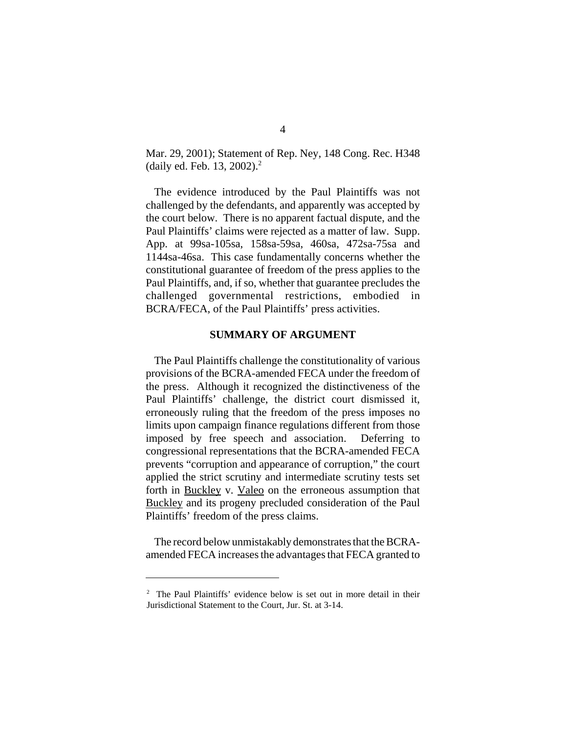Mar. 29, 2001); Statement of Rep. Ney, 148 Cong. Rec. H348 (daily ed. Feb. 13, 2002).2

The evidence introduced by the Paul Plaintiffs was not challenged by the defendants, and apparently was accepted by the court below. There is no apparent factual dispute, and the Paul Plaintiffs' claims were rejected as a matter of law. Supp. App. at 99sa-105sa, 158sa-59sa, 460sa, 472sa-75sa and 1144sa-46sa. This case fundamentally concerns whether the constitutional guarantee of freedom of the press applies to the Paul Plaintiffs, and, if so, whether that guarantee precludes the challenged governmental restrictions, embodied in BCRA/FECA, of the Paul Plaintiffs' press activities.

#### **SUMMARY OF ARGUMENT**

The Paul Plaintiffs challenge the constitutionality of various provisions of the BCRA-amended FECA under the freedom of the press. Although it recognized the distinctiveness of the Paul Plaintiffs' challenge, the district court dismissed it, erroneously ruling that the freedom of the press imposes no limits upon campaign finance regulations different from those imposed by free speech and association. Deferring to congressional representations that the BCRA-amended FECA prevents "corruption and appearance of corruption," the court applied the strict scrutiny and intermediate scrutiny tests set forth in Buckley v. Valeo on the erroneous assumption that Buckley and its progeny precluded consideration of the Paul Plaintiffs' freedom of the press claims.

The record below unmistakably demonstrates that the BCRAamended FECA increases the advantages that FECA granted to

<sup>&</sup>lt;sup>2</sup> The Paul Plaintiffs' evidence below is set out in more detail in their Jurisdictional Statement to the Court, Jur. St. at 3-14.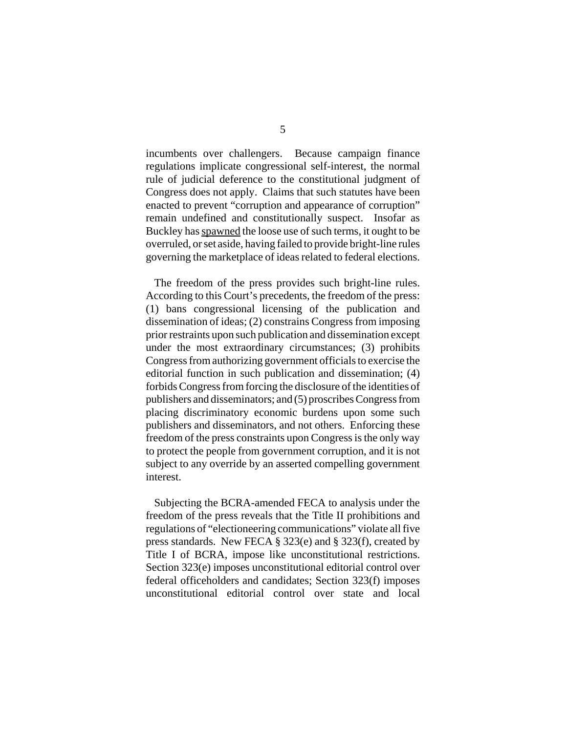incumbents over challengers. Because campaign finance regulations implicate congressional self-interest, the normal rule of judicial deference to the constitutional judgment of Congress does not apply. Claims that such statutes have been enacted to prevent "corruption and appearance of corruption" remain undefined and constitutionally suspect. Insofar as Buckley has spawned the loose use of such terms, it ought to be overruled, or set aside, having failed to provide bright-line rules governing the marketplace of ideas related to federal elections.

The freedom of the press provides such bright-line rules. According to this Court's precedents, the freedom of the press: (1) bans congressional licensing of the publication and dissemination of ideas; (2) constrains Congress from imposing prior restraints upon such publication and dissemination except under the most extraordinary circumstances; (3) prohibits Congress from authorizing government officials to exercise the editorial function in such publication and dissemination; (4) forbids Congress from forcing the disclosure of the identities of publishers and disseminators; and (5) proscribes Congress from placing discriminatory economic burdens upon some such publishers and disseminators, and not others. Enforcing these freedom of the press constraints upon Congress is the only way to protect the people from government corruption, and it is not subject to any override by an asserted compelling government interest.

Subjecting the BCRA-amended FECA to analysis under the freedom of the press reveals that the Title II prohibitions and regulations of "electioneering communications" violate all five press standards. New FECA § 323(e) and § 323(f), created by Title I of BCRA, impose like unconstitutional restrictions. Section 323(e) imposes unconstitutional editorial control over federal officeholders and candidates; Section 323(f) imposes unconstitutional editorial control over state and local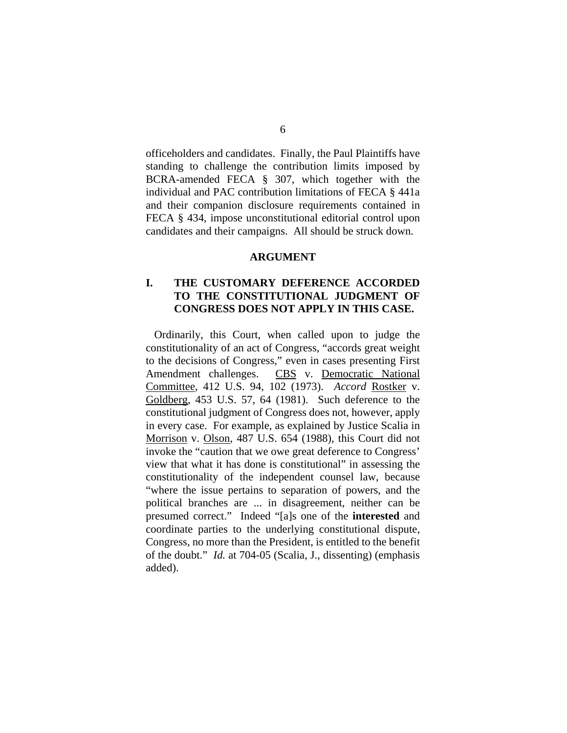officeholders and candidates. Finally, the Paul Plaintiffs have standing to challenge the contribution limits imposed by BCRA-amended FECA § 307, which together with the individual and PAC contribution limitations of FECA § 441a and their companion disclosure requirements contained in FECA § 434, impose unconstitutional editorial control upon candidates and their campaigns. All should be struck down.

#### **ARGUMENT**

### **I. THE CUSTOMARY DEFERENCE ACCORDED TO THE CONSTITUTIONAL JUDGMENT OF CONGRESS DOES NOT APPLY IN THIS CASE.**

Ordinarily, this Court, when called upon to judge the constitutionality of an act of Congress, "accords great weight to the decisions of Congress," even in cases presenting First Amendment challenges. CBS v. Democratic National Committee, 412 U.S. 94, 102 (1973). *Accord* Rostker v. Goldberg, 453 U.S. 57, 64 (1981). Such deference to the constitutional judgment of Congress does not, however, apply in every case. For example, as explained by Justice Scalia in Morrison v. Olson, 487 U.S. 654 (1988), this Court did not invoke the "caution that we owe great deference to Congress' view that what it has done is constitutional" in assessing the constitutionality of the independent counsel law, because "where the issue pertains to separation of powers, and the political branches are ... in disagreement, neither can be presumed correct." Indeed "[a]s one of the **interested** and coordinate parties to the underlying constitutional dispute, Congress, no more than the President, is entitled to the benefit of the doubt." *Id.* at 704-05 (Scalia, J., dissenting) (emphasis added).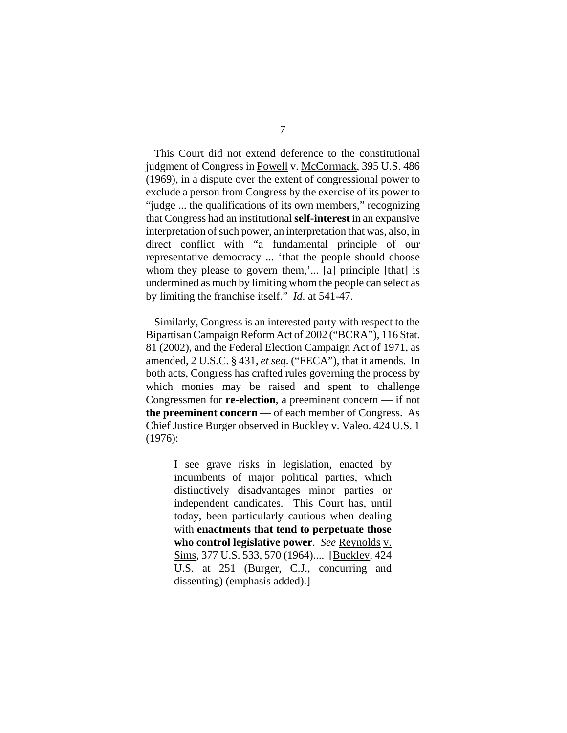This Court did not extend deference to the constitutional judgment of Congress in Powell v. McCormack, 395 U.S. 486 (1969), in a dispute over the extent of congressional power to exclude a person from Congress by the exercise of its power to "judge ... the qualifications of its own members," recognizing that Congress had an institutional **self-interest** in an expansive interpretation of such power, an interpretation that was, also, in direct conflict with "a fundamental principle of our representative democracy ... 'that the people should choose whom they please to govern them,'... [a] principle [that] is undermined as much by limiting whom the people can select as by limiting the franchise itself." *Id*. at 541-47.

Similarly, Congress is an interested party with respect to the Bipartisan Campaign ReformAct of 2002 ("BCRA"), 116 Stat. 81 (2002), and the Federal Election Campaign Act of 1971, as amended, 2 U.S.C. § 431, *et seq*. ("FECA"), that it amends. In both acts, Congress has crafted rules governing the process by which monies may be raised and spent to challenge Congressmen for **re-election**, a preeminent concern — if not **the preeminent concern** — of each member of Congress. As Chief Justice Burger observed in Buckley v. Valeo. 424 U.S. 1 (1976):

> I see grave risks in legislation, enacted by incumbents of major political parties, which distinctively disadvantages minor parties or independent candidates. This Court has, until today, been particularly cautious when dealing with **enactments that tend to perpetuate those who control legislative power**. *See* Reynolds v. Sims*,* 377 U.S. 533, 570 (1964).... [Buckley, 424 U.S. at 251 (Burger, C.J., concurring and dissenting) (emphasis added).]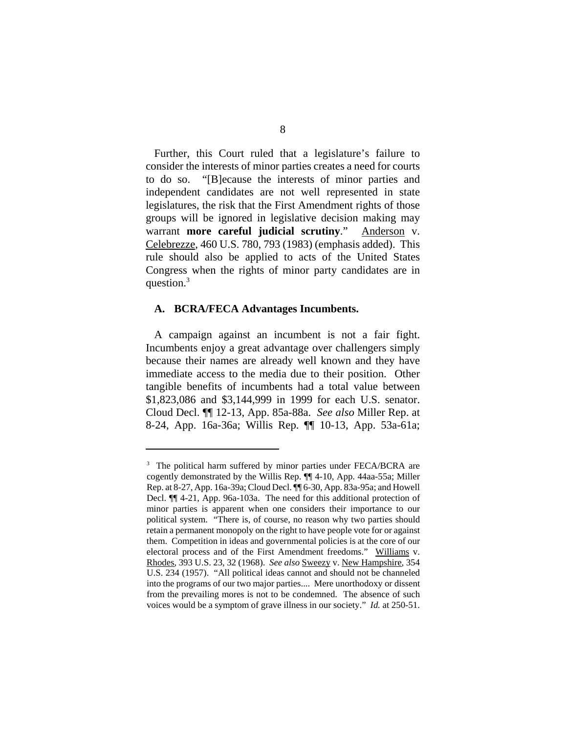Further, this Court ruled that a legislature's failure to consider the interests of minor parties creates a need for courts to do so. "[B]ecause the interests of minor parties and independent candidates are not well represented in state legislatures, the risk that the First Amendment rights of those groups will be ignored in legislative decision making may warrant **more careful judicial scrutiny**." Anderson v. Celebrezze, 460 U.S. 780, 793 (1983) (emphasis added). This rule should also be applied to acts of the United States Congress when the rights of minor party candidates are in question.<sup>3</sup>

#### **A. BCRA/FECA Advantages Incumbents.**

A campaign against an incumbent is not a fair fight. Incumbents enjoy a great advantage over challengers simply because their names are already well known and they have immediate access to the media due to their position. Other tangible benefits of incumbents had a total value between \$1,823,086 and \$3,144,999 in 1999 for each U.S. senator. Cloud Decl. ¶¶ 12-13, App. 85a-88a. *See also* Miller Rep. at 8-24, App. 16a-36a; Willis Rep. ¶¶ 10-13, App. 53a-61a;

<sup>&</sup>lt;sup>3</sup> The political harm suffered by minor parties under FECA/BCRA are cogently demonstrated by the Willis Rep. ¶¶ 4-10, App. 44aa-55a; Miller Rep. at 8-27, App. 16a-39a; Cloud Decl. ¶¶ 6-30, App. 83a-95a; and Howell Decl. ¶¶ 4-21, App. 96a-103a. The need for this additional protection of minor parties is apparent when one considers their importance to our political system. "There is, of course, no reason why two parties should retain a permanent monopoly on the right to have people vote for or against them. Competition in ideas and governmental policies is at the core of our electoral process and of the First Amendment freedoms." Williams v. Rhodes, 393 U.S. 23, 32 (1968). *See also* Sweezy v. New Hampshire, 354 U.S. 234 (1957). "All political ideas cannot and should not be channeled into the programs of our two major parties.... Mere unorthodoxy or dissent from the prevailing mores is not to be condemned. The absence of such voices would be a symptom of grave illness in our society." *Id.* at 250-51.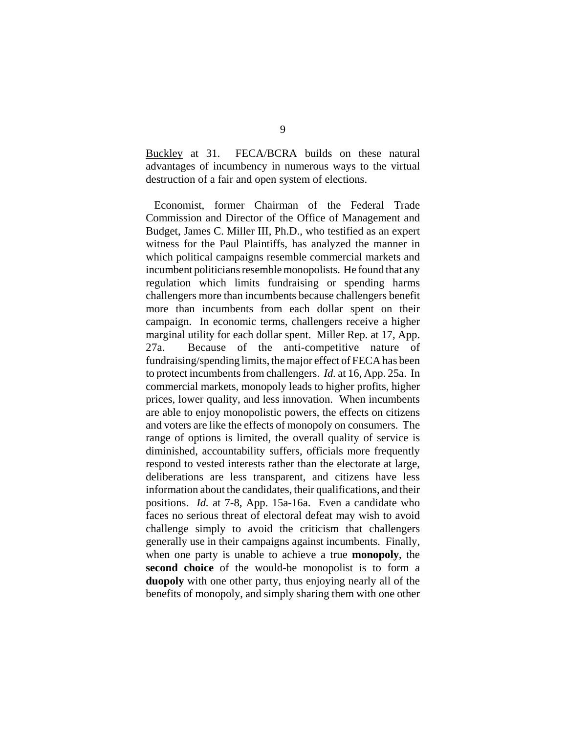Buckley at 31. FECA/BCRA builds on these natural advantages of incumbency in numerous ways to the virtual destruction of a fair and open system of elections.

Economist, former Chairman of the Federal Trade Commission and Director of the Office of Management and Budget, James C. Miller III, Ph.D., who testified as an expert witness for the Paul Plaintiffs, has analyzed the manner in which political campaigns resemble commercial markets and incumbent politicians resemble monopolists. He found that any regulation which limits fundraising or spending harms challengers more than incumbents because challengers benefit more than incumbents from each dollar spent on their campaign. In economic terms, challengers receive a higher marginal utility for each dollar spent. Miller Rep. at 17, App. 27a. Because of the anti-competitive nature of fundraising/spending limits, the major effect of FECA has been to protect incumbents from challengers. *Id.* at 16, App. 25a. In commercial markets, monopoly leads to higher profits, higher prices, lower quality, and less innovation. When incumbents are able to enjoy monopolistic powers, the effects on citizens and voters are like the effects of monopoly on consumers. The range of options is limited, the overall quality of service is diminished, accountability suffers, officials more frequently respond to vested interests rather than the electorate at large, deliberations are less transparent, and citizens have less information about the candidates, their qualifications, and their positions. *Id.* at 7-8, App. 15a-16a. Even a candidate who faces no serious threat of electoral defeat may wish to avoid challenge simply to avoid the criticism that challengers generally use in their campaigns against incumbents. Finally, when one party is unable to achieve a true **monopoly**, the **second choice** of the would-be monopolist is to form a **duopoly** with one other party, thus enjoying nearly all of the benefits of monopoly, and simply sharing them with one other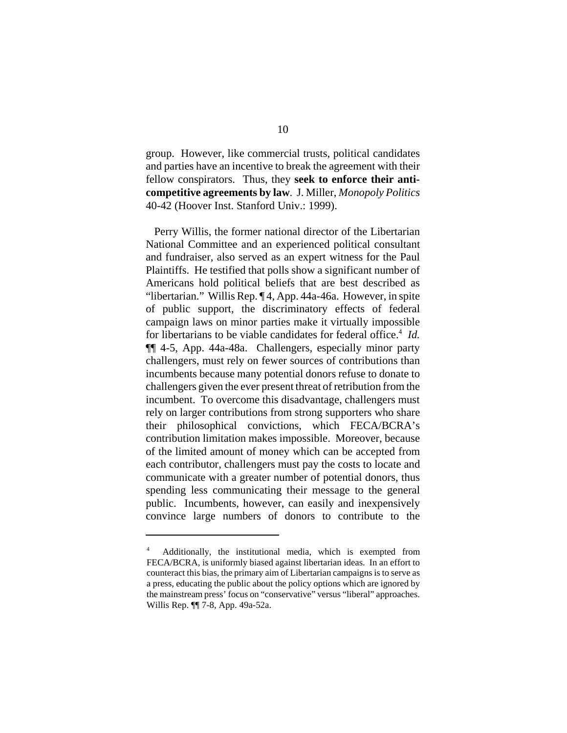group. However, like commercial trusts, political candidates and parties have an incentive to break the agreement with their fellow conspirators. Thus, they **seek to enforce their anticompetitive agreements by law**. J. Miller, *Monopoly Politics*  40-42 (Hoover Inst. Stanford Univ.: 1999).

Perry Willis, the former national director of the Libertarian National Committee and an experienced political consultant and fundraiser, also served as an expert witness for the Paul Plaintiffs. He testified that polls show a significant number of Americans hold political beliefs that are best described as "libertarian." Willis Rep. ¶ 4, App. 44a-46a. However, in spite of public support, the discriminatory effects of federal campaign laws on minor parties make it virtually impossible for libertarians to be viable candidates for federal office.<sup>4</sup> *Id.* ¶¶ 4-5, App. 44a-48a. Challengers, especially minor party challengers, must rely on fewer sources of contributions than incumbents because many potential donors refuse to donate to challengers given the ever present threat of retribution from the incumbent. To overcome this disadvantage, challengers must rely on larger contributions from strong supporters who share their philosophical convictions, which FECA/BCRA's contribution limitation makes impossible. Moreover, because of the limited amount of money which can be accepted from each contributor, challengers must pay the costs to locate and communicate with a greater number of potential donors, thus spending less communicating their message to the general public. Incumbents, however, can easily and inexpensively convince large numbers of donors to contribute to the

<sup>4</sup> Additionally, the institutional media, which is exempted from FECA/BCRA, is uniformly biased against libertarian ideas. In an effort to counteract this bias, the primary aim of Libertarian campaigns is to serve as a press, educating the public about the policy options which are ignored by the mainstream press' focus on "conservative" versus "liberal" approaches. Willis Rep. ¶¶ 7-8, App. 49a-52a.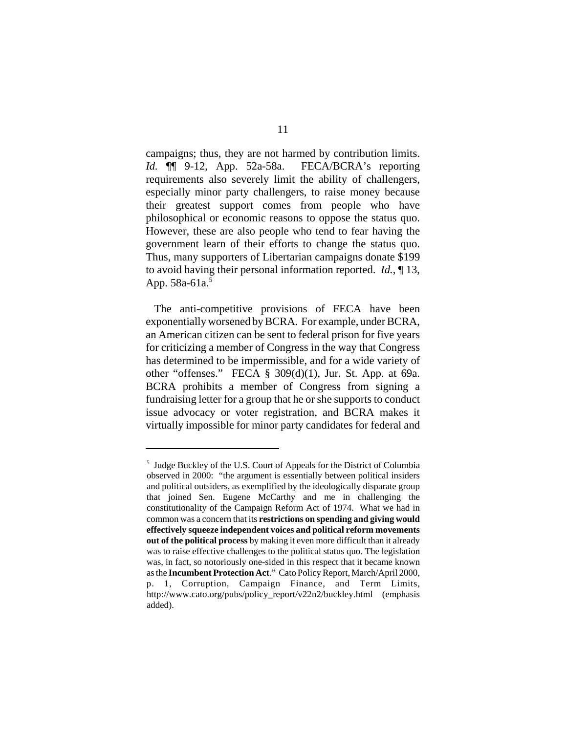campaigns; thus, they are not harmed by contribution limits. *Id.* ¶¶ 9-12, App. 52a-58a. FECA/BCRA's reporting requirements also severely limit the ability of challengers, especially minor party challengers, to raise money because their greatest support comes from people who have philosophical or economic reasons to oppose the status quo. However, these are also people who tend to fear having the government learn of their efforts to change the status quo. Thus, many supporters of Libertarian campaigns donate \$199 to avoid having their personal information reported. *Id.*, ¶ 13, App. 58a-61a.<sup>5</sup>

The anti-competitive provisions of FECA have been exponentially worsened by BCRA. For example, under BCRA, an American citizen can be sent to federal prison for five years for criticizing a member of Congress in the way that Congress has determined to be impermissible, and for a wide variety of other "offenses." FECA  $\S$  309(d)(1), Jur. St. App. at 69a. BCRA prohibits a member of Congress from signing a fundraising letter for a group that he or she supports to conduct issue advocacy or voter registration, and BCRA makes it virtually impossible for minor party candidates for federal and

<sup>5</sup> Judge Buckley of the U.S. Court of Appeals for the District of Columbia observed in 2000: "the argument is essentially between political insiders and political outsiders, as exemplified by the ideologically disparate group that joined Sen. Eugene McCarthy and me in challenging the constitutionality of the Campaign Reform Act of 1974. What we had in common was a concern that its **restrictions on spending and giving would effectively squeeze independent voices and political reform movements out of the political process** by making it even more difficult than it already was to raise effective challenges to the political status quo. The legislation was, in fact, so notoriously one-sided in this respect that it became known as the **Incumbent Protection Act**." Cato Policy Report, March/April 2000, p. 1, Corruption, Campaign Finance, and Term Limits, http://www.cato.org/pubs/policy\_report/v22n2/buckley.html (emphasis added).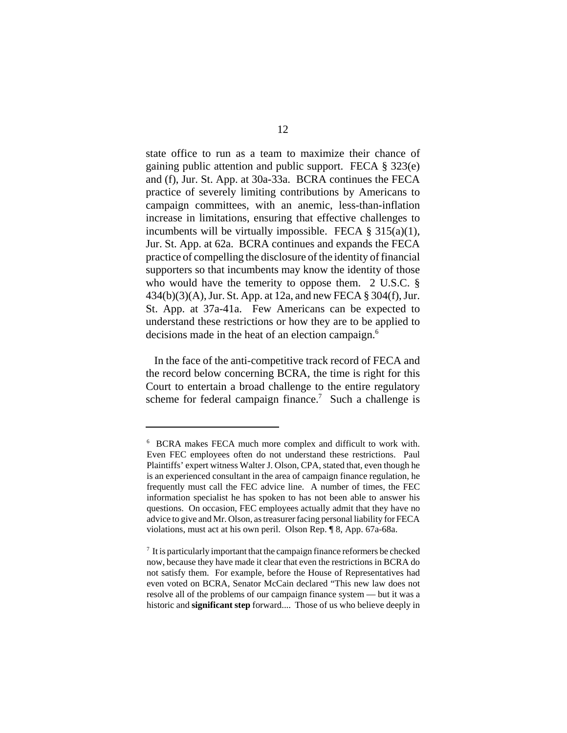state office to run as a team to maximize their chance of gaining public attention and public support. FECA § 323(e) and (f), Jur. St. App. at 30a-33a. BCRA continues the FECA practice of severely limiting contributions by Americans to campaign committees, with an anemic, less-than-inflation increase in limitations, ensuring that effective challenges to incumbents will be virtually impossible. FECA  $\S$  315(a)(1), Jur. St. App. at 62a. BCRA continues and expands the FECA practice of compelling the disclosure of the identity of financial supporters so that incumbents may know the identity of those who would have the temerity to oppose them. 2 U.S.C. § 434(b)(3)(A), Jur. St. App. at 12a, and new FECA § 304(f), Jur. St. App. at 37a-41a. Few Americans can be expected to understand these restrictions or how they are to be applied to decisions made in the heat of an election campaign.<sup>6</sup>

In the face of the anti-competitive track record of FECA and the record below concerning BCRA, the time is right for this Court to entertain a broad challenge to the entire regulatory scheme for federal campaign finance.<sup>7</sup> Such a challenge is

<sup>&</sup>lt;sup>6</sup> BCRA makes FECA much more complex and difficult to work with. Even FEC employees often do not understand these restrictions. Paul Plaintiffs' expert witness Walter J. Olson, CPA, stated that, even though he is an experienced consultant in the area of campaign finance regulation, he frequently must call the FEC advice line. A number of times, the FEC information specialist he has spoken to has not been able to answer his questions. On occasion, FEC employees actually admit that they have no advice to give and Mr. Olson, as treasurer facing personal liability for FECA violations, must act at his own peril. Olson Rep. ¶ 8, App. 67a-68a.

 $\frac{7}{1}$  It is particularly important that the campaign finance reformers be checked now, because they have made it clear that even the restrictions in BCRA do not satisfy them. For example, before the House of Representatives had even voted on BCRA, Senator McCain declared "This new law does not resolve all of the problems of our campaign finance system — but it was a historic and **significant step** forward.... Those of us who believe deeply in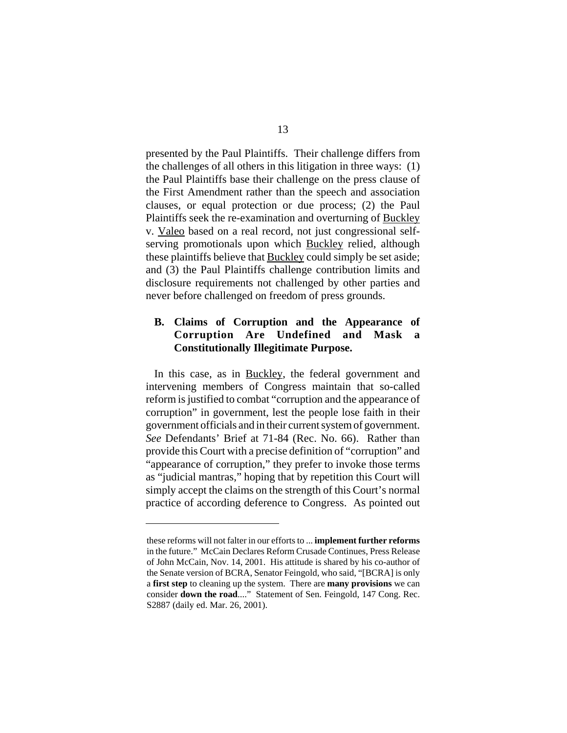presented by the Paul Plaintiffs. Their challenge differs from the challenges of all others in this litigation in three ways: (1) the Paul Plaintiffs base their challenge on the press clause of the First Amendment rather than the speech and association clauses, or equal protection or due process; (2) the Paul Plaintiffs seek the re-examination and overturning of Buckley v. Valeo based on a real record, not just congressional selfserving promotionals upon which Buckley relied, although these plaintiffs believe that Buckley could simply be set aside; and (3) the Paul Plaintiffs challenge contribution limits and disclosure requirements not challenged by other parties and never before challenged on freedom of press grounds.

### **B. Claims of Corruption and the Appearance of Corruption Are Undefined and Mask a Constitutionally Illegitimate Purpose.**

In this case, as in Buckley, the federal government and intervening members of Congress maintain that so-called reform is justified to combat "corruption and the appearance of corruption" in government, lest the people lose faith in their government officials and in their current system of government. *See* Defendants' Brief at 71-84 (Rec. No. 66). Rather than provide this Court with a precise definition of "corruption" and "appearance of corruption," they prefer to invoke those terms as "judicial mantras," hoping that by repetition this Court will simply accept the claims on the strength of this Court's normal practice of according deference to Congress. As pointed out

these reforms will not falter in our efforts to ... **implement further reforms**  in the future." McCain Declares Reform Crusade Continues, Press Release of John McCain, Nov. 14, 2001. His attitude is shared by his co-author of the Senate version of BCRA, Senator Feingold, who said, "[BCRA] is only a **first step** to cleaning up the system. There are **many provisions** we can consider **down the road**...." Statement of Sen. Feingold, 147 Cong. Rec. S2887 (daily ed. Mar. 26, 2001).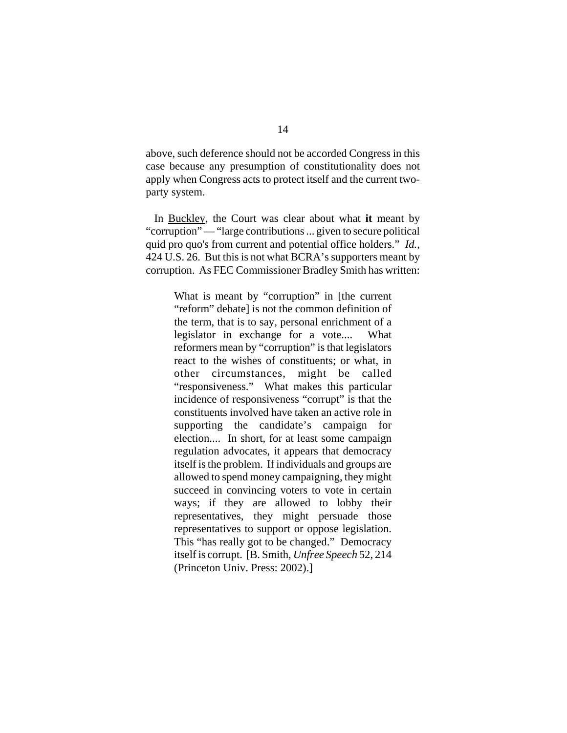above, such deference should not be accorded Congress in this case because any presumption of constitutionality does not apply when Congress acts to protect itself and the current twoparty system.

In Buckley, the Court was clear about what **it** meant by "corruption" — "large contributions ... given to secure political" quid pro quo's from current and potential office holders." *Id.,*  424 U.S. 26. But this is not what BCRA's supporters meant by corruption. As FEC Commissioner Bradley Smith has written:

> What is meant by "corruption" in [the current "reform" debate] is not the common definition of the term, that is to say, personal enrichment of a legislator in exchange for a vote.... What reformers mean by "corruption" is that legislators react to the wishes of constituents; or what, in other circumstances, might be called "responsiveness." What makes this particular incidence of responsiveness "corrupt" is that the constituents involved have taken an active role in supporting the candidate's campaign for election.... In short, for at least some campaign regulation advocates, it appears that democracy itself is the problem. If individuals and groups are allowed to spend money campaigning, they might succeed in convincing voters to vote in certain ways; if they are allowed to lobby their representatives, they might persuade those representatives to support or oppose legislation. This "has really got to be changed." Democracy itself is corrupt. [B. Smith, *Unfree Speech* 52, 214 (Princeton Univ. Press: 2002).]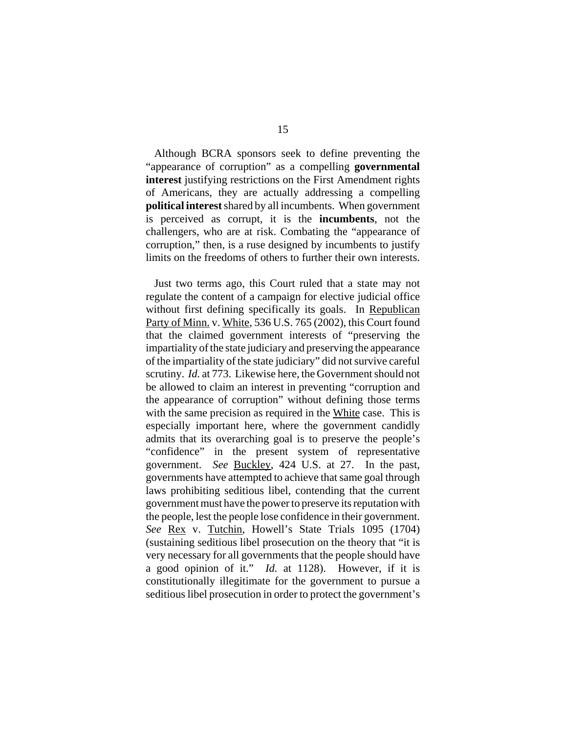Although BCRA sponsors seek to define preventing the "appearance of corruption" as a compelling **governmental interest** justifying restrictions on the First Amendment rights of Americans, they are actually addressing a compelling **political interest** shared by all incumbents. When government is perceived as corrupt, it is the **incumbents**, not the challengers, who are at risk. Combating the "appearance of corruption," then, is a ruse designed by incumbents to justify limits on the freedoms of others to further their own interests.

Just two terms ago, this Court ruled that a state may not regulate the content of a campaign for elective judicial office without first defining specifically its goals. In Republican Party of Minn. v. White, 536 U.S. 765 (2002), this Court found that the claimed government interests of "preserving the impartiality of the state judiciary and preserving the appearance of the impartiality of the state judiciary" did not survive careful scrutiny. *Id.* at 773. Likewise here, the Government should not be allowed to claim an interest in preventing "corruption and the appearance of corruption" without defining those terms with the same precision as required in the White case. This is especially important here, where the government candidly admits that its overarching goal is to preserve the people's "confidence" in the present system of representative government. *See* Buckley, 424 U.S. at 27. In the past, governments have attempted to achieve that same goal through laws prohibiting seditious libel, contending that the current government must have the power to preserve its reputation with the people, lest the people lose confidence in their government. See <u>Rex</u> v. Tutchin, Howell's State Trials 1095 (1704) (sustaining seditious libel prosecution on the theory that "it is very necessary for all governments that the people should have a good opinion of it." *Id.* at 1128). However, if it is constitutionally illegitimate for the government to pursue a seditious libel prosecution in order to protect the government's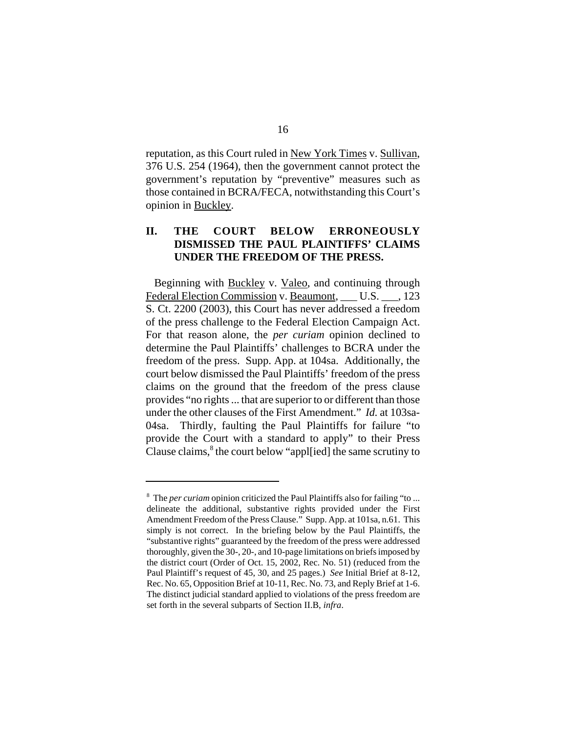reputation, as this Court ruled in New York Times v. Sullivan, 376 U.S. 254 (1964), then the government cannot protect the government's reputation by "preventive" measures such as those contained in BCRA/FECA, notwithstanding this Court's opinion in Buckley.

## **II. THE COURT BELOW ERRONEOUSLY DISMISSED THE PAUL PLAINTIFFS' CLAIMS UNDER THE FREEDOM OF THE PRESS.**

Beginning with **Buckley v. Valeo**, and continuing through Federal Election Commission v. Beaumont, U.S. , 123 S. Ct. 2200 (2003), this Court has never addressed a freedom of the press challenge to the Federal Election Campaign Act. For that reason alone, the *per curiam* opinion declined to determine the Paul Plaintiffs' challenges to BCRA under the freedom of the press. Supp. App. at 104sa. Additionally, the court below dismissed the Paul Plaintiffs' freedom of the press claims on the ground that the freedom of the press clause provides "no rights ... that are superior to or different than those under the other clauses of the First Amendment." *Id.* at 103sa-04sa. Thirdly, faulting the Paul Plaintiffs for failure "to provide the Court with a standard to apply" to their Press Clause claims, 8 the court below "appl[ied] the same scrutiny to

<sup>8</sup> The *per curiam* opinion criticized the Paul Plaintiffs also for failing "to ... delineate the additional, substantive rights provided under the First Amendment Freedom of the Press Clause." Supp. App. at 101sa, n.61. This simply is not correct. In the briefing below by the Paul Plaintiffs, the "substantive rights" guaranteed by the freedom of the press were addressed thoroughly, given the 30-, 20-, and 10-page limitations on briefs imposed by the district court (Order of Oct. 15, 2002, Rec. No. 51) (reduced from the Paul Plaintiff's request of 45, 30, and 25 pages.) *See* Initial Brief at 8-12, Rec. No. 65, Opposition Brief at 10-11, Rec. No. 73, and Reply Brief at 1-6. The distinct judicial standard applied to violations of the press freedom are set forth in the several subparts of Section II.B, *infra*.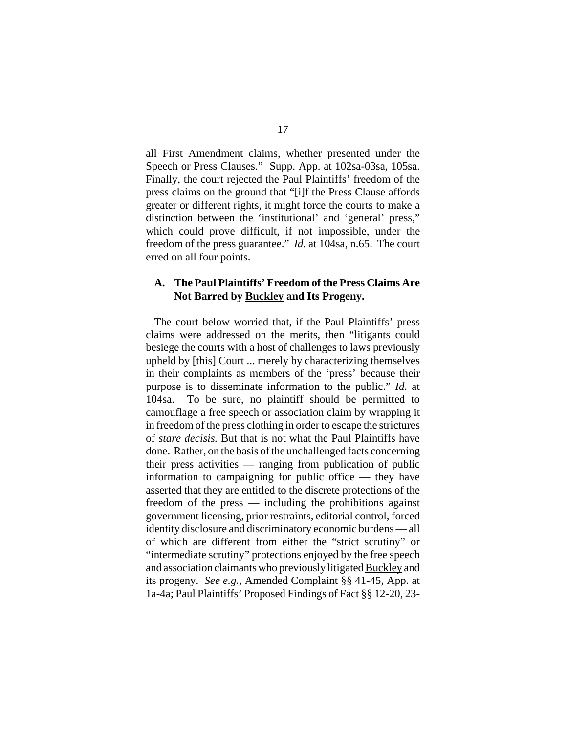all First Amendment claims, whether presented under the Speech or Press Clauses." Supp. App. at 102sa-03sa, 105sa. Finally, the court rejected the Paul Plaintiffs' freedom of the press claims on the ground that "[i]f the Press Clause affords greater or different rights, it might force the courts to make a distinction between the 'institutional' and 'general' press," which could prove difficult, if not impossible, under the freedom of the press guarantee." *Id.* at 104sa, n.65. The court erred on all four points.

### **A. The Paul Plaintiffs' Freedom of the Press Claims Are Not Barred by Buckley and Its Progeny.**

The court below worried that, if the Paul Plaintiffs' press claims were addressed on the merits, then "litigants could besiege the courts with a host of challenges to laws previously upheld by [this] Court ... merely by characterizing themselves in their complaints as members of the 'press' because their purpose is to disseminate information to the public." *Id.* at 104sa. To be sure, no plaintiff should be permitted to camouflage a free speech or association claim by wrapping it in freedom of the press clothing in order to escape the strictures of *stare decisis.* But that is not what the Paul Plaintiffs have done. Rather, on the basis of the unchallenged facts concerning their press activities — ranging from publication of public information to campaigning for public office — they have asserted that they are entitled to the discrete protections of the freedom of the press — including the prohibitions against government licensing, prior restraints, editorial control, forced identity disclosure and discriminatory economic burdens — all of which are different from either the "strict scrutiny" or "intermediate scrutiny" protections enjoyed by the free speech and association claimants who previously litigated Buckley and its progeny. *See e.g.,* Amended Complaint §§ 41-45, App. at 1a-4a; Paul Plaintiffs' Proposed Findings of Fact §§ 12-20, 23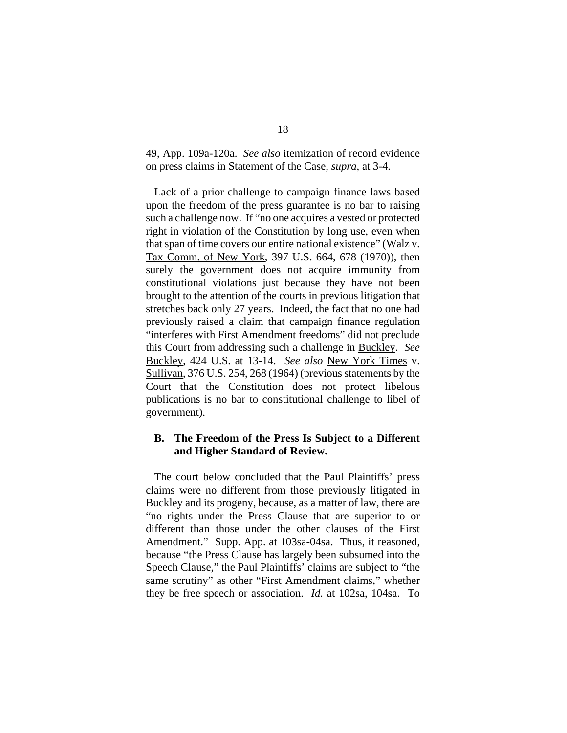49, App. 109a-120a. *See also* itemization of record evidence on press claims in Statement of the Case, *supra*, at 3-4.

Lack of a prior challenge to campaign finance laws based upon the freedom of the press guarantee is no bar to raising such a challenge now. If "no one acquires a vested or protected right in violation of the Constitution by long use, even when that span of time covers our entire national existence" (Walz v. Tax Comm. of New York, 397 U.S. 664, 678 (1970)), then surely the government does not acquire immunity from constitutional violations just because they have not been brought to the attention of the courts in previous litigation that stretches back only 27 years. Indeed, the fact that no one had previously raised a claim that campaign finance regulation "interferes with First Amendment freedoms" did not preclude this Court from addressing such a challenge in Buckley. *See*  Buckley, 424 U.S. at 13-14. *See also* New York Times v. Sullivan, 376 U.S. 254, 268 (1964) (previous statements by the Court that the Constitution does not protect libelous publications is no bar to constitutional challenge to libel of government).

#### **B. The Freedom of the Press Is Subject to a Different and Higher Standard of Review.**

The court below concluded that the Paul Plaintiffs' press claims were no different from those previously litigated in Buckley and its progeny, because, as a matter of law, there are "no rights under the Press Clause that are superior to or different than those under the other clauses of the First Amendment." Supp. App. at 103sa-04sa. Thus, it reasoned, because "the Press Clause has largely been subsumed into the Speech Clause," the Paul Plaintiffs' claims are subject to "the same scrutiny" as other "First Amendment claims," whether they be free speech or association. *Id.* at 102sa, 104sa. To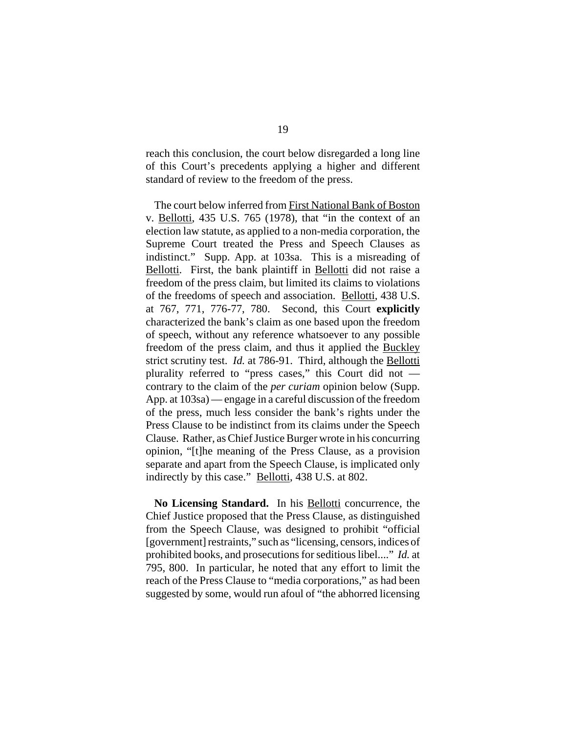reach this conclusion, the court below disregarded a long line of this Court's precedents applying a higher and different standard of review to the freedom of the press.

The court below inferred from First National Bank of Boston v. Bellotti, 435 U.S. 765 (1978), that "in the context of an election law statute, as applied to a non-media corporation, the Supreme Court treated the Press and Speech Clauses as indistinct." Supp. App. at 103sa. This is a misreading of Bellotti. First, the bank plaintiff in Bellotti did not raise a freedom of the press claim, but limited its claims to violations of the freedoms of speech and association. Bellotti, 438 U.S. at 767, 771, 776-77, 780. Second, this Court **explicitly**  characterized the bank's claim as one based upon the freedom of speech, without any reference whatsoever to any possible freedom of the press claim, and thus it applied the Buckley strict scrutiny test. *Id.* at 786-91. Third, although the Bellotti plurality referred to "press cases," this Court did not contrary to the claim of the *per curiam* opinion below (Supp. App. at 103sa) — engage in a careful discussion of the freedom of the press, much less consider the bank's rights under the Press Clause to be indistinct from its claims under the Speech Clause. Rather, as Chief Justice Burger wrote in his concurring opinion, "[t]he meaning of the Press Clause, as a provision separate and apart from the Speech Clause, is implicated only indirectly by this case." Bellotti, 438 U.S. at 802.

**No Licensing Standard.** In his Bellotti concurrence, the Chief Justice proposed that the Press Clause, as distinguished from the Speech Clause, was designed to prohibit "official [government] restraints," such as "licensing, censors, indices of prohibited books, and prosecutions for seditious libel...." *Id.* at 795, 800. In particular, he noted that any effort to limit the reach of the Press Clause to "media corporations," as had been suggested by some, would run afoul of "the abhorred licensing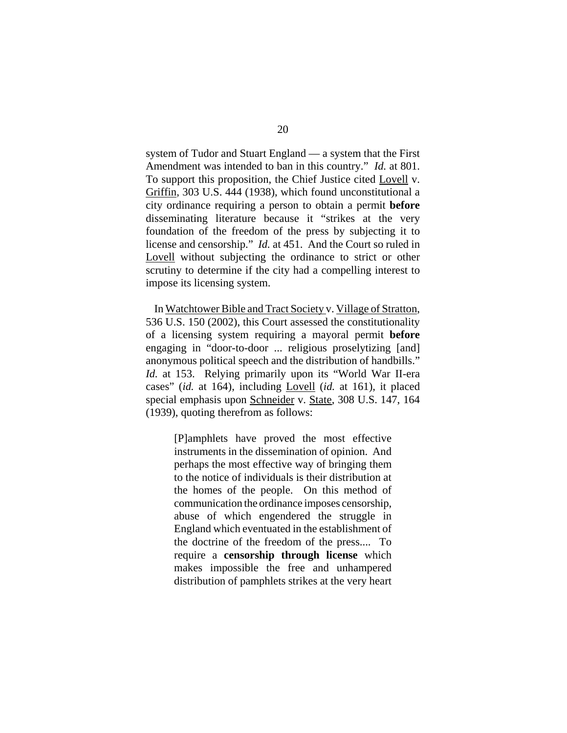system of Tudor and Stuart England — a system that the First Amendment was intended to ban in this country." *Id.* at 801. To support this proposition, the Chief Justice cited Lovell v. Griffin, 303 U.S. 444 (1938), which found unconstitutional a city ordinance requiring a person to obtain a permit **before**  disseminating literature because it "strikes at the very foundation of the freedom of the press by subjecting it to license and censorship." *Id.* at 451. And the Court so ruled in Lovell without subjecting the ordinance to strict or other scrutiny to determine if the city had a compelling interest to impose its licensing system.

In Watchtower Bible and Tract Society v. Village of Stratton, 536 U.S. 150 (2002), this Court assessed the constitutionality of a licensing system requiring a mayoral permit **before**  engaging in "door-to-door ... religious proselytizing [and] anonymous political speech and the distribution of handbills." *Id.* at 153. Relying primarily upon its "World War II-era cases" (*id.* at 164), including Lovell (*id.* at 161), it placed special emphasis upon Schneider v. State, 308 U.S. 147, 164 (1939), quoting therefrom as follows:

> [P]amphlets have proved the most effective instruments in the dissemination of opinion. And perhaps the most effective way of bringing them to the notice of individuals is their distribution at the homes of the people. On this method of communication the ordinance imposes censorship, abuse of which engendered the struggle in England which eventuated in the establishment of the doctrine of the freedom of the press.... To require a **censorship through license** which makes impossible the free and unhampered distribution of pamphlets strikes at the very heart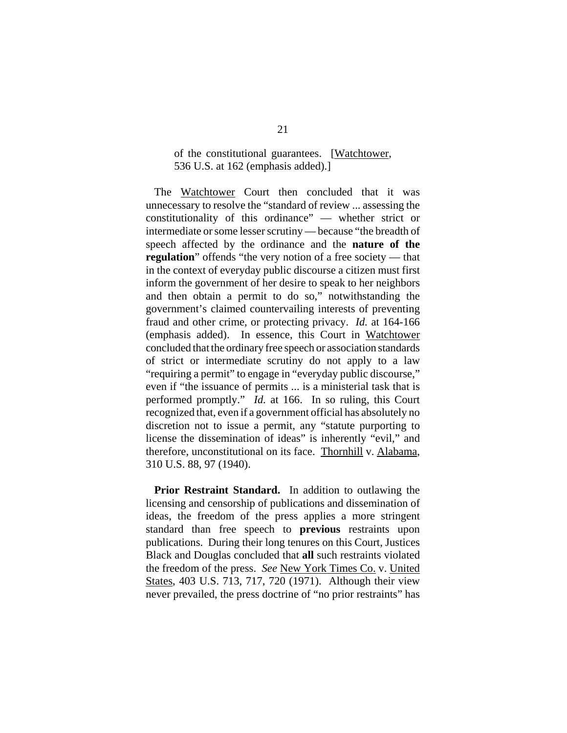#### of the constitutional guarantees. [Watchtower, 536 U.S. at 162 (emphasis added).]

The Watchtower Court then concluded that it was unnecessary to resolve the "standard of review ... assessing the constitutionality of this ordinance" — whether strict or intermediate or some lesser scrutiny — because "the breadth of speech affected by the ordinance and the **nature of the regulation**" offends "the very notion of a free society — that in the context of everyday public discourse a citizen must first inform the government of her desire to speak to her neighbors and then obtain a permit to do so," notwithstanding the government's claimed countervailing interests of preventing fraud and other crime, or protecting privacy. *Id.* at 164-166 (emphasis added). In essence, this Court in Watchtower concluded that the ordinary free speech or association standards of strict or intermediate scrutiny do not apply to a law "requiring a permit" to engage in "everyday public discourse," even if "the issuance of permits ... is a ministerial task that is performed promptly." *Id.* at 166. In so ruling, this Court recognized that, even if a government official has absolutely no discretion not to issue a permit, any "statute purporting to license the dissemination of ideas" is inherently "evil," and therefore, unconstitutional on its face. Thornhill v. Alabama, 310 U.S. 88, 97 (1940).

**Prior Restraint Standard.** In addition to outlawing the licensing and censorship of publications and dissemination of ideas, the freedom of the press applies a more stringent standard than free speech to **previous** restraints upon publications. During their long tenures on this Court, Justices Black and Douglas concluded that **all** such restraints violated the freedom of the press. *See* New York Times Co. v. United States, 403 U.S. 713, 717, 720 (1971). Although their view never prevailed, the press doctrine of "no prior restraints" has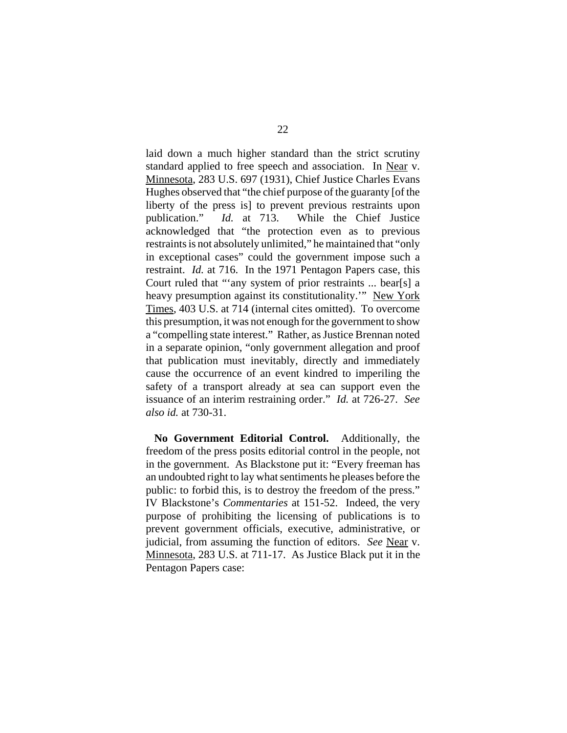laid down a much higher standard than the strict scrutiny standard applied to free speech and association. In Near v. Minnesota, 283 U.S. 697 (1931), Chief Justice Charles Evans Hughes observed that "the chief purpose of the guaranty [of the liberty of the press is] to prevent previous restraints upon publication." *Id.* at 713. While the Chief Justice acknowledged that "the protection even as to previous restraints is not absolutely unlimited," he maintained that "only in exceptional cases" could the government impose such a restraint. *Id.* at 716. In the 1971 Pentagon Papers case, this Court ruled that "'any system of prior restraints ... bear[s] a heavy presumption against its constitutionality.'" New York Times, 403 U.S. at 714 (internal cites omitted). To overcome this presumption, it was not enough for the government to show a "compelling state interest." Rather, as Justice Brennan noted in a separate opinion, "only government allegation and proof that publication must inevitably, directly and immediately cause the occurrence of an event kindred to imperiling the safety of a transport already at sea can support even the issuance of an interim restraining order." *Id.* at 726-27. *See also id.* at 730-31.

**No Government Editorial Control.** Additionally, the freedom of the press posits editorial control in the people, not in the government. As Blackstone put it: "Every freeman has an undoubted right to lay what sentiments he pleases before the public: to forbid this, is to destroy the freedom of the press." IV Blackstone's *Commentaries* at 151-52. Indeed, the very purpose of prohibiting the licensing of publications is to prevent government officials, executive, administrative, or judicial, from assuming the function of editors. *See* Near v. Minnesota, 283 U.S. at 711-17. As Justice Black put it in the Pentagon Papers case: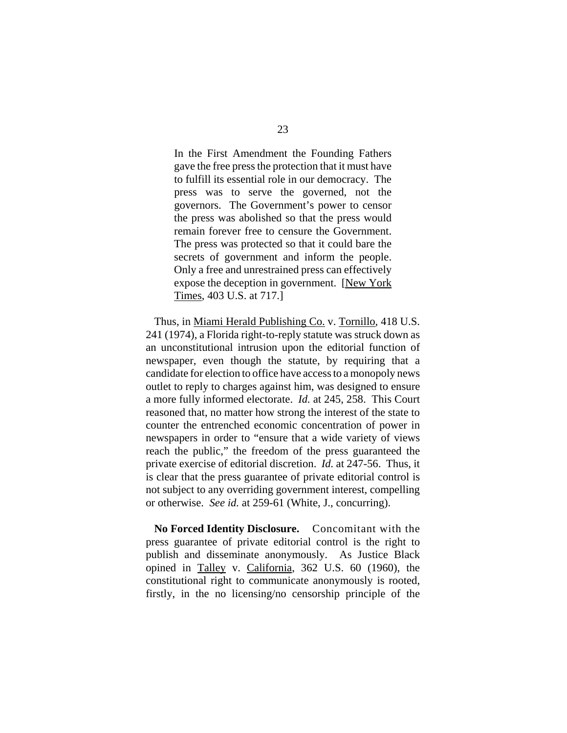In the First Amendment the Founding Fathers gave the free press the protection that it must have to fulfill its essential role in our democracy. The press was to serve the governed, not the governors. The Government's power to censor the press was abolished so that the press would remain forever free to censure the Government. The press was protected so that it could bare the secrets of government and inform the people. Only a free and unrestrained press can effectively expose the deception in government. [New York Times, 403 U.S. at 717.]

Thus, in Miami Herald Publishing Co. v. Tornillo, 418 U.S. 241 (1974), a Florida right-to-reply statute was struck down as an unconstitutional intrusion upon the editorial function of newspaper, even though the statute, by requiring that a candidate for election to office have access to a monopoly news outlet to reply to charges against him, was designed to ensure a more fully informed electorate. *Id.* at 245, 258. This Court reasoned that, no matter how strong the interest of the state to counter the entrenched economic concentration of power in newspapers in order to "ensure that a wide variety of views reach the public," the freedom of the press guaranteed the private exercise of editorial discretion. *Id.* at 247-56. Thus, it is clear that the press guarantee of private editorial control is not subject to any overriding government interest, compelling or otherwise. *See id.* at 259-61 (White, J., concurring).

**No Forced Identity Disclosure.** Concomitant with the press guarantee of private editorial control is the right to publish and disseminate anonymously. As Justice Black opined in Talley v. California, 362 U.S. 60 (1960), the constitutional right to communicate anonymously is rooted, firstly, in the no licensing/no censorship principle of the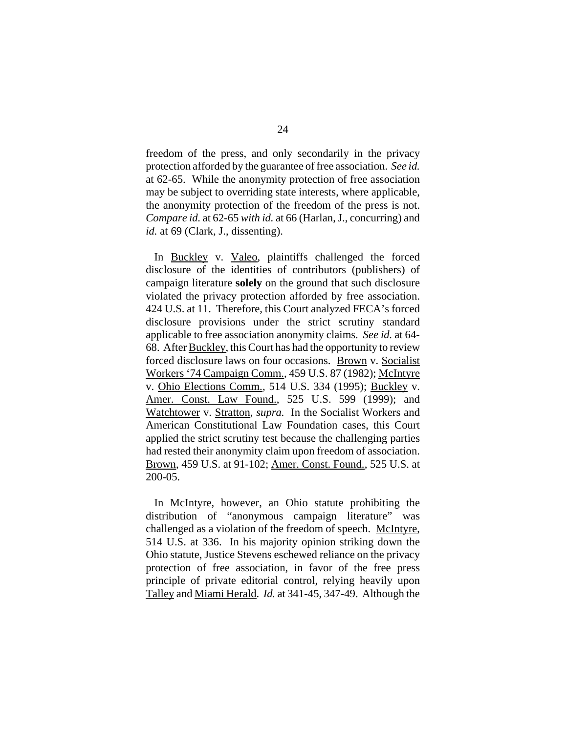freedom of the press, and only secondarily in the privacy protection afforded by the guarantee of free association. *See id.*  at 62-65. While the anonymity protection of free association may be subject to overriding state interests, where applicable, the anonymity protection of the freedom of the press is not. *Compare id.* at 62-65 *with id.* at 66 (Harlan, J., concurring) and *id.* at 69 (Clark, J., dissenting).

In Buckley v. Valeo, plaintiffs challenged the forced disclosure of the identities of contributors (publishers) of campaign literature **solely** on the ground that such disclosure violated the privacy protection afforded by free association. 424 U.S. at 11. Therefore, this Court analyzed FECA's forced disclosure provisions under the strict scrutiny standard applicable to free association anonymity claims. *See id.* at 64- 68. After Buckley, this Court has had the opportunity to review forced disclosure laws on four occasions. Brown v. Socialist Workers '74 Campaign Comm., 459 U.S. 87 (1982); McIntyre v. Ohio Elections Comm., 514 U.S. 334 (1995); Buckley v. Amer. Const. Law Found., 525 U.S. 599 (1999); and Watchtower v. Stratton, *supra.* In the Socialist Workers and American Constitutional Law Foundation cases, this Court applied the strict scrutiny test because the challenging parties had rested their anonymity claim upon freedom of association. Brown, 459 U.S. at 91-102; Amer. Const. Found., 525 U.S. at 200-05.

In McIntyre, however, an Ohio statute prohibiting the distribution of "anonymous campaign literature" was challenged as a violation of the freedom of speech. McIntyre, 514 U.S. at 336. In his majority opinion striking down the Ohio statute, Justice Stevens eschewed reliance on the privacy protection of free association, in favor of the free press principle of private editorial control, relying heavily upon Talley and Miami Herald. *Id.* at 341-45, 347-49. Although the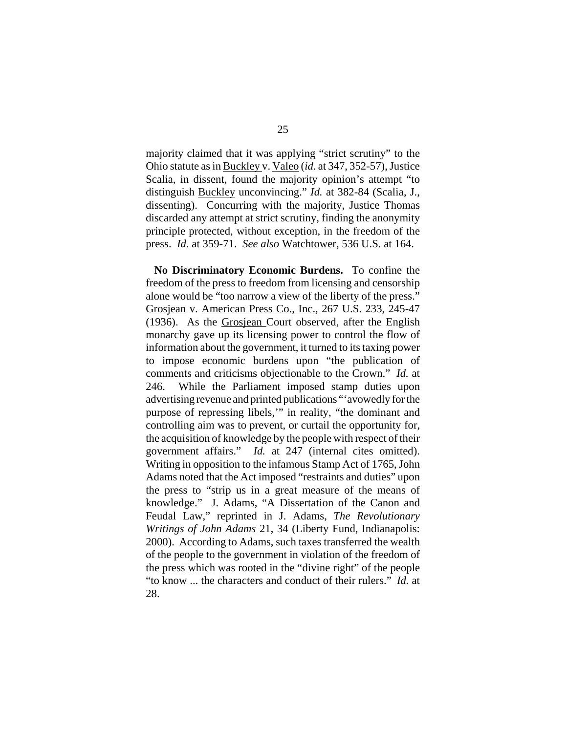majority claimed that it was applying "strict scrutiny" to the Ohio statute as in Buckley v. Valeo (*id.* at 347, 352-57), Justice Scalia, in dissent, found the majority opinion's attempt "to distinguish Buckley unconvincing." *Id.* at 382-84 (Scalia, J., dissenting). Concurring with the majority, Justice Thomas discarded any attempt at strict scrutiny, finding the anonymity principle protected, without exception, in the freedom of the press. *Id.* at 359-71. *See also* Watchtower, 536 U.S. at 164.

**No Discriminatory Economic Burdens.** To confine the freedom of the press to freedom from licensing and censorship alone would be "too narrow a view of the liberty of the press." Grosjean v. American Press Co., Inc., 267 U.S. 233, 245-47 (1936). As the Grosjean Court observed, after the English monarchy gave up its licensing power to control the flow of information about the government, it turned to its taxing power to impose economic burdens upon "the publication of comments and criticisms objectionable to the Crown." *Id.* at 246. While the Parliament imposed stamp duties upon advertising revenue and printed publications "'avowedly for the purpose of repressing libels,'" in reality, "the dominant and controlling aim was to prevent, or curtail the opportunity for, the acquisition of knowledge by the people with respect of their government affairs." *Id.* at 247 (internal cites omitted). Writing in opposition to the infamous Stamp Act of 1765, John Adams noted that the Act imposed "restraints and duties" upon the press to "strip us in a great measure of the means of knowledge." J. Adams, "A Dissertation of the Canon and Feudal Law," reprinted in J. Adams, *The Revolutionary Writings of John Adams* 21, 34 (Liberty Fund, Indianapolis: 2000). According to Adams, such taxes transferred the wealth of the people to the government in violation of the freedom of the press which was rooted in the "divine right" of the people "to know ... the characters and conduct of their rulers." *Id.* at 28.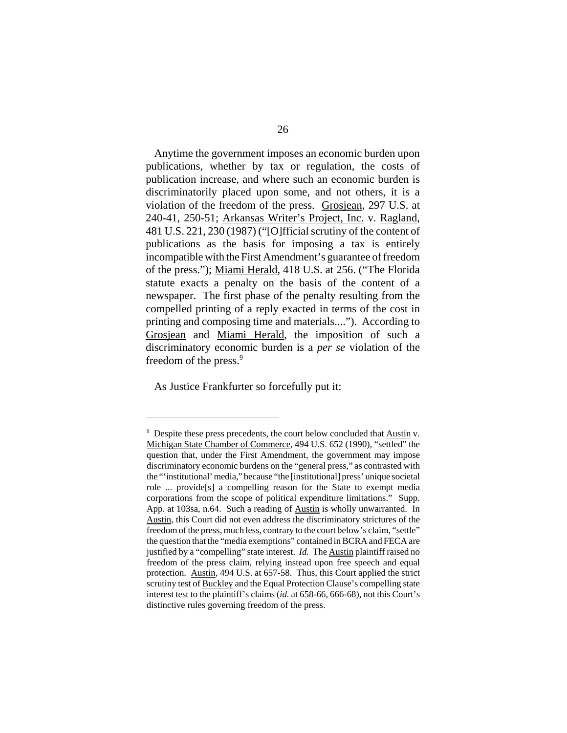Anytime the government imposes an economic burden upon publications, whether by tax or regulation, the costs of publication increase, and where such an economic burden is discriminatorily placed upon some, and not others, it is a violation of the freedom of the press. Grosjean, 297 U.S. at 240-41, 250-51; Arkansas Writer's Project, Inc. v. Ragland, 481 U.S. 221, 230 (1987) ("[O]fficial scrutiny of the content of publications as the basis for imposing a tax is entirely incompatible with the First Amendment's guarantee of freedom of the press."); Miami Herald, 418 U.S. at 256. ("The Florida statute exacts a penalty on the basis of the content of a newspaper. The first phase of the penalty resulting from the compelled printing of a reply exacted in terms of the cost in printing and composing time and materials...."). According to Grosjean and Miami Herald, the imposition of such a discriminatory economic burden is a *per se* violation of the freedom of the press.<sup>9</sup>

As Justice Frankfurter so forcefully put it:

 $9\degree$  Despite these press precedents, the court below concluded that Austin v. Michigan State Chamber of Commerce, 494 U.S. 652 (1990), "settled" the question that, under the First Amendment, the government may impose discriminatory economic burdens on the "general press," as contrasted with the "'institutional' media," because "the [institutional] press' unique societal role ... provide[s] a compelling reason for the State to exempt media corporations from the scope of political expenditure limitations." Supp. App. at 103sa, n.64. Such a reading of Austin is wholly unwarranted. In Austin, this Court did not even address the discriminatory strictures of the freedom of the press, much less, contrary to the court below's claim, "settle" the question that the "media exemptions" contained in BCRA and FECA are justified by a "compelling" state interest. *Id.* The Austin plaintiff raised no freedom of the press claim, relying instead upon free speech and equal protection. Austin, 494 U.S. at 657-58. Thus, this Court applied the strict scrutiny test of Buckley and the Equal Protection Clause's compelling state interest test to the plaintiff's claims (*id.* at 658-66, 666-68), not this Court's distinctive rules governing freedom of the press.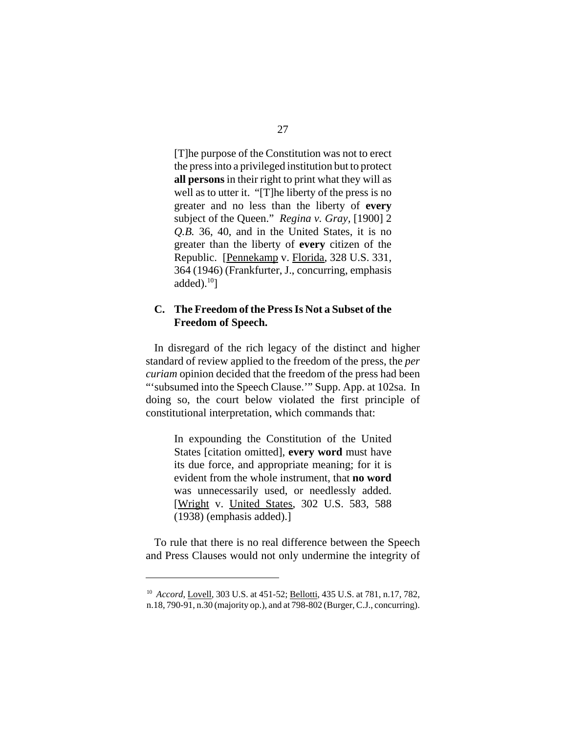[T]he purpose of the Constitution was not to erect the press into a privileged institution but to protect **all persons** in their right to print what they will as well as to utter it. "[T]he liberty of the press is no greater and no less than the liberty of **every**  subject of the Queen." *Regina v. Gray,* [1900] 2 *Q.B.* 36, 40, and in the United States, it is no greater than the liberty of **every** citizen of the Republic. [Pennekamp v. Florida, 328 U.S. 331, 364 (1946) (Frankfurter, J., concurring, emphasis added). $^{10}$ ]

### **C. The Freedom of the Press Is Not a Subset of the Freedom of Speech.**

In disregard of the rich legacy of the distinct and higher standard of review applied to the freedom of the press, the *per curiam* opinion decided that the freedom of the press had been "'subsumed into the Speech Clause.'" Supp. App. at 102sa. In doing so, the court below violated the first principle of constitutional interpretation, which commands that:

> In expounding the Constitution of the United States [citation omitted], **every word** must have its due force, and appropriate meaning; for it is evident from the whole instrument, that **no word**  was unnecessarily used, or needlessly added. [Wright v. United States, 302 U.S. 583, 588 (1938) (emphasis added).]

To rule that there is no real difference between the Speech and Press Clauses would not only undermine the integrity of

<sup>&</sup>lt;sup>10</sup> Accord, Lovell, 303 U.S. at 451-52; Bellotti, 435 U.S. at 781, n.17, 782, n.18, 790-91, n.30 (majority op.), and at 798-802 (Burger, C.J., concurring).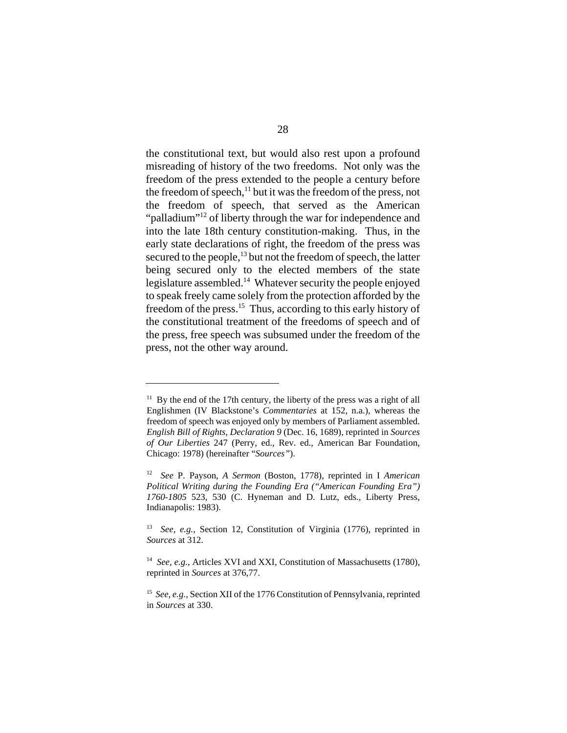the constitutional text, but would also rest upon a profound misreading of history of the two freedoms. Not only was the freedom of the press extended to the people a century before the freedom of speech,<sup>11</sup> but it was the freedom of the press, not the freedom of speech, that served as the American "palladium"<sup>12</sup> of liberty through the war for independence and into the late 18th century constitution-making. Thus, in the early state declarations of right, the freedom of the press was secured to the people,<sup>13</sup> but not the freedom of speech, the latter being secured only to the elected members of the state legislature assembled.<sup>14</sup> Whatever security the people enjoyed to speak freely came solely from the protection afforded by the freedom of the press.<sup>15</sup> Thus, according to this early history of the constitutional treatment of the freedoms of speech and of the press, free speech was subsumed under the freedom of the press, not the other way around.

 $11$  By the end of the 17th century, the liberty of the press was a right of all Englishmen (IV Blackstone's *Commentaries* at 152, n.a.), whereas the freedom of speech was enjoyed only by members of Parliament assembled. *English Bill of Rights, Declaration 9* (Dec. 16, 1689), reprinted in *Sources of Our Liberties* 247 (Perry, ed., Rev. ed., American Bar Foundation, Chicago: 1978) (hereinafter "*Sources"*).

<sup>12</sup>*See* P. Payson, *A Sermon* (Boston, 1778), reprinted in I *American Political Writing during the Founding Era ("American Founding Era") 1760-1805* 523, 530 (C. Hyneman and D. Lutz, eds., Liberty Press, Indianapolis: 1983).

<sup>13</sup> *See, e.g.,* Section 12, Constitution of Virginia (1776), reprinted in *Sources* at 312.

<sup>&</sup>lt;sup>14</sup> See, e.g., Articles XVI and XXI, Constitution of Massachusetts (1780), reprinted in *Sources* at 376,77.

<sup>&</sup>lt;sup>15</sup> See, e.g., Section XII of the 1776 Constitution of Pennsylvania, reprinted in *Sources* at 330.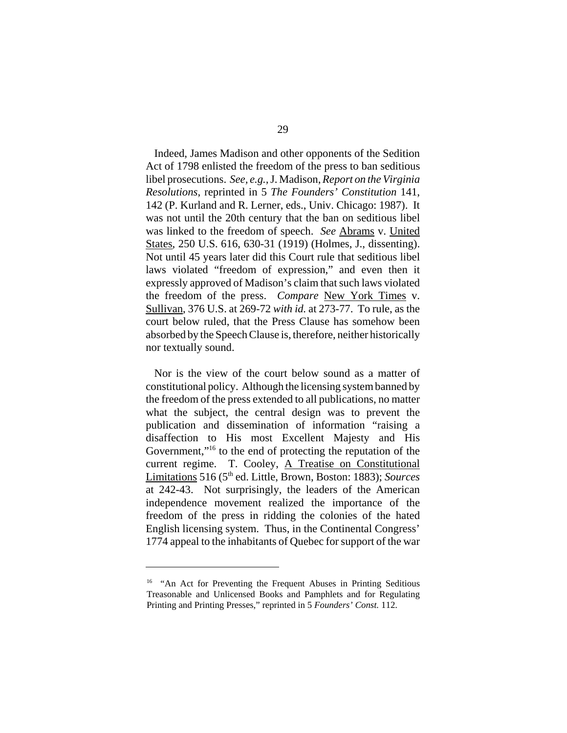Indeed, James Madison and other opponents of the Sedition Act of 1798 enlisted the freedom of the press to ban seditious libel prosecutions. *See, e.g.,* J. Madison, *Report on the Virginia Resolutions*, reprinted in 5 *The Founders' Constitution* 141, 142 (P. Kurland and R. Lerner, eds., Univ. Chicago: 1987). It was not until the 20th century that the ban on seditious libel was linked to the freedom of speech. *See* Abrams v. United States, 250 U.S. 616, 630-31 (1919) (Holmes, J., dissenting). Not until 45 years later did this Court rule that seditious libel laws violated "freedom of expression," and even then it expressly approved of Madison's claim that such laws violated the freedom of the press. *Compare* New York Times v. Sullivan, 376 U.S. at 269-72 *with id.* at 273-77. To rule, as the court below ruled, that the Press Clause has somehow been absorbed by the Speech Clause is, therefore, neither historically nor textually sound.

Nor is the view of the court below sound as a matter of constitutional policy. Although the licensing system banned by the freedom of the press extended to all publications, no matter what the subject, the central design was to prevent the publication and dissemination of information "raising a disaffection to His most Excellent Majesty and His Government,"<sup>16</sup> to the end of protecting the reputation of the current regime. T. Cooley, A Treatise on Constitutional Limitations 516 (5th ed. Little, Brown, Boston: 1883); *Sources*  at 242-43. Not surprisingly, the leaders of the American independence movement realized the importance of the freedom of the press in ridding the colonies of the hated English licensing system. Thus, in the Continental Congress' 1774 appeal to the inhabitants of Quebec for support of the war

<sup>&</sup>lt;sup>16</sup> "An Act for Preventing the Frequent Abuses in Printing Seditious Treasonable and Unlicensed Books and Pamphlets and for Regulating Printing and Printing Presses," reprinted in 5 *Founders' Const.* 112.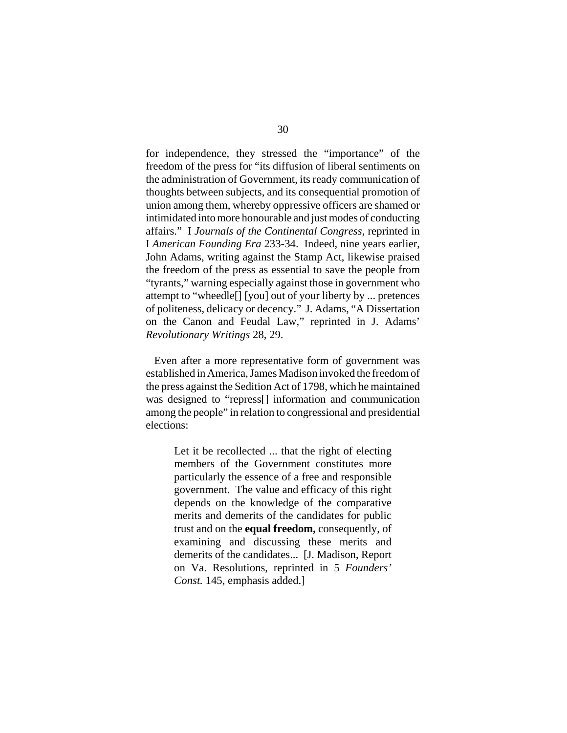for independence, they stressed the "importance" of the freedom of the press for "its diffusion of liberal sentiments on the administration of Government, its ready communication of thoughts between subjects, and its consequential promotion of union among them, whereby oppressive officers are shamed or intimidated into more honourable and just modes of conducting affairs." I *Journals of the Continental Congress,* reprinted in I *American Founding Era* 233-34. Indeed, nine years earlier, John Adams, writing against the Stamp Act, likewise praised the freedom of the press as essential to save the people from "tyrants," warning especially against those in government who attempt to "wheedle[] [you] out of your liberty by ... pretences of politeness, delicacy or decency." J. Adams, "A Dissertation on the Canon and Feudal Law," reprinted in J. Adams' *Revolutionary Writings* 28, 29.

Even after a more representative form of government was established in America, James Madison invoked the freedom of the press against the Sedition Act of 1798, which he maintained was designed to "repress[] information and communication among the people" in relation to congressional and presidential elections:

> Let it be recollected ... that the right of electing members of the Government constitutes more particularly the essence of a free and responsible government. The value and efficacy of this right depends on the knowledge of the comparative merits and demerits of the candidates for public trust and on the **equal freedom,** consequently, of examining and discussing these merits and demerits of the candidates... [J. Madison, Report on Va. Resolutions, reprinted in 5 *Founders' Const.* 145, emphasis added.]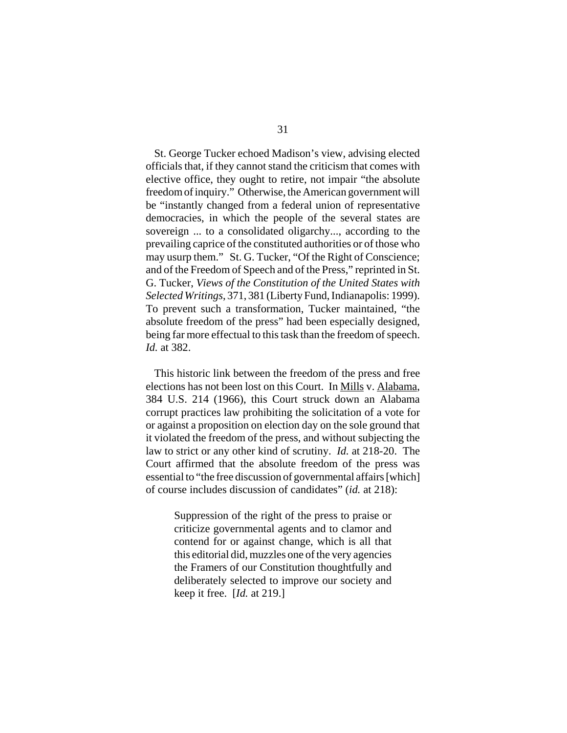St. George Tucker echoed Madison's view, advising elected officials that, if they cannot stand the criticism that comes with elective office, they ought to retire, not impair "the absolute freedom of inquiry." Otherwise, the American government will be "instantly changed from a federal union of representative democracies, in which the people of the several states are sovereign ... to a consolidated oligarchy..., according to the prevailing caprice of the constituted authorities or of those who may usurp them." St. G. Tucker, "Of the Right of Conscience; and of the Freedom of Speech and of the Press," reprinted in St. G. Tucker, *Views of the Constitution of the United States with Selected Writings*, 371, 381 (Liberty Fund, Indianapolis: 1999). To prevent such a transformation, Tucker maintained, "the absolute freedom of the press" had been especially designed, being far more effectual to this task than the freedom of speech. *Id.* at 382.

This historic link between the freedom of the press and free elections has not been lost on this Court. In Mills v. Alabama, 384 U.S. 214 (1966), this Court struck down an Alabama corrupt practices law prohibiting the solicitation of a vote for or against a proposition on election day on the sole ground that it violated the freedom of the press, and without subjecting the law to strict or any other kind of scrutiny. *Id.* at 218-20. The Court affirmed that the absolute freedom of the press was essential to "the free discussion of governmental affairs [which] of course includes discussion of candidates" (*id.* at 218):

> Suppression of the right of the press to praise or criticize governmental agents and to clamor and contend for or against change, which is all that this editorial did, muzzles one of the very agencies the Framers of our Constitution thoughtfully and deliberately selected to improve our society and keep it free. [*Id.* at 219.]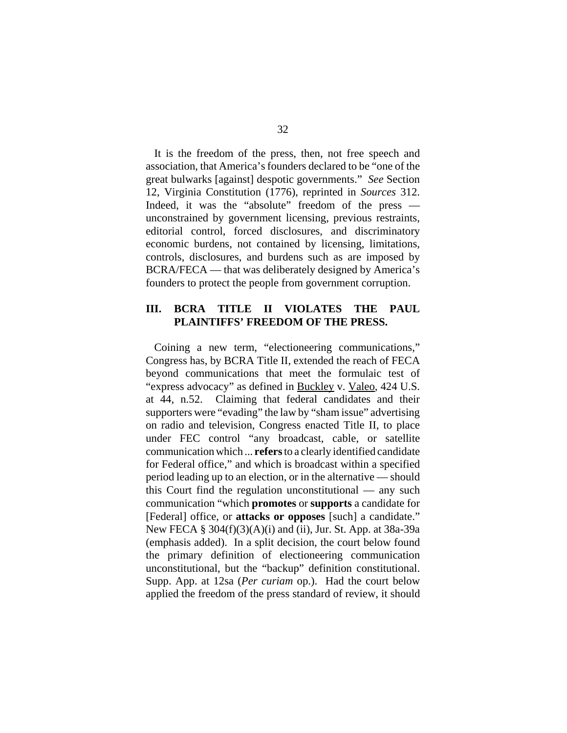It is the freedom of the press, then, not free speech and association, that America's founders declared to be "one of the great bulwarks [against] despotic governments." *See* Section 12, Virginia Constitution (1776), reprinted in *Sources* 312. Indeed, it was the "absolute" freedom of the press unconstrained by government licensing, previous restraints, editorial control, forced disclosures, and discriminatory economic burdens, not contained by licensing, limitations, controls, disclosures, and burdens such as are imposed by BCRA/FECA — that was deliberately designed by America's founders to protect the people from government corruption.

### **III. BCRA TITLE II VIOLATES THE PAUL PLAINTIFFS' FREEDOM OF THE PRESS.**

Coining a new term, "electioneering communications," Congress has, by BCRA Title II, extended the reach of FECA beyond communications that meet the formulaic test of "express advocacy" as defined in Buckley v. Valeo, 424 U.S. at 44, n.52. Claiming that federal candidates and their supporters were "evading" the law by "sham issue" advertising on radio and television, Congress enacted Title II, to place under FEC control "any broadcast, cable, or satellite communication which ... **refers** to a clearly identified candidate for Federal office," and which is broadcast within a specified period leading up to an election, or in the alternative — should this Court find the regulation unconstitutional — any such communication "which **promotes** or **supports** a candidate for [Federal] office, or **attacks or opposes** [such] a candidate." New FECA § 304(f)(3)(A)(i) and (ii), Jur. St. App. at 38a-39a (emphasis added). In a split decision, the court below found the primary definition of electioneering communication unconstitutional, but the "backup" definition constitutional. Supp. App. at 12sa (*Per curiam* op.). Had the court below applied the freedom of the press standard of review, it should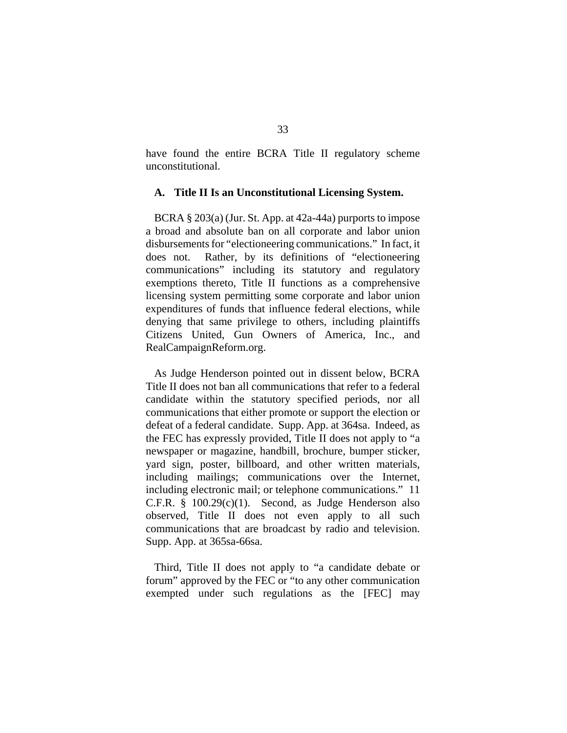have found the entire BCRA Title II regulatory scheme unconstitutional.

#### **A. Title II Is an Unconstitutional Licensing System.**

BCRA § 203(a) (Jur. St. App. at 42a-44a) purports to impose a broad and absolute ban on all corporate and labor union disbursements for "electioneering communications." In fact, it does not. Rather, by its definitions of "electioneering communications" including its statutory and regulatory exemptions thereto, Title II functions as a comprehensive licensing system permitting some corporate and labor union expenditures of funds that influence federal elections, while denying that same privilege to others, including plaintiffs Citizens United, Gun Owners of America, Inc., and RealCampaignReform.org.

As Judge Henderson pointed out in dissent below, BCRA Title II does not ban all communications that refer to a federal candidate within the statutory specified periods, nor all communications that either promote or support the election or defeat of a federal candidate. Supp. App. at 364sa. Indeed, as the FEC has expressly provided, Title II does not apply to "a newspaper or magazine, handbill, brochure, bumper sticker, yard sign, poster, billboard, and other written materials, including mailings; communications over the Internet, including electronic mail; or telephone communications." 11 C.F.R.  $§$  100.29 $(c)(1)$ . Second, as Judge Henderson also observed, Title II does not even apply to all such communications that are broadcast by radio and television. Supp. App. at 365sa-66sa.

Third, Title II does not apply to "a candidate debate or forum" approved by the FEC or "to any other communication exempted under such regulations as the [FEC] may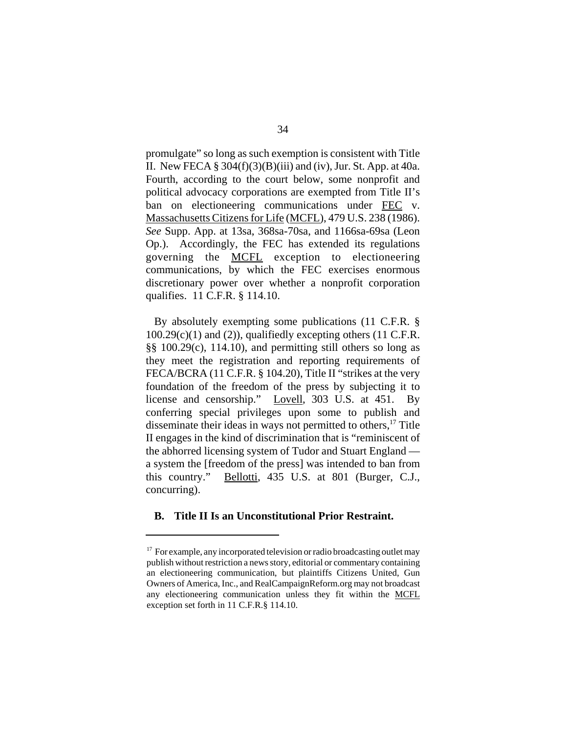promulgate" so long as such exemption is consistent with Title II. New FECA  $\S 304(f)(3)(B)(iii)$  and (iv), Jur. St. App. at 40a. Fourth, according to the court below, some nonprofit and political advocacy corporations are exempted from Title II's ban on electioneering communications under FEC v. Massachusetts Citizens for Life (MCFL), 479 U.S. 238 (1986). *See* Supp. App. at 13sa, 368sa-70sa, and 1166sa-69sa (Leon Op.). Accordingly, the FEC has extended its regulations governing the MCFL exception to electioneering communications, by which the FEC exercises enormous discretionary power over whether a nonprofit corporation qualifies. 11 C.F.R. § 114.10.

By absolutely exempting some publications (11 C.F.R. §  $100.29(c)(1)$  and (2)), qualifiedly excepting others (11 C.F.R. §§ 100.29(c), 114.10), and permitting still others so long as they meet the registration and reporting requirements of FECA/BCRA (11 C.F.R. § 104.20), Title II "strikes at the very foundation of the freedom of the press by subjecting it to license and censorship." Lovell, 303 U.S. at 451. By conferring special privileges upon some to publish and disseminate their ideas in ways not permitted to others, $17$  Title II engages in the kind of discrimination that is "reminiscent of the abhorred licensing system of Tudor and Stuart England a system the [freedom of the press] was intended to ban from this country." Bellotti, 435 U.S. at 801 (Burger, C.J., concurring).

#### **B. Title II Is an Unconstitutional Prior Restraint.**

 $17$  For example, any incorporated television or radio broadcasting outlet may publish without restriction a news story, editorial or commentary containing an electioneering communication, but plaintiffs Citizens United, Gun Owners of America, Inc., and RealCampaignReform.org may not broadcast any electioneering communication unless they fit within the MCFL exception set forth in 11 C.F.R.§ 114.10.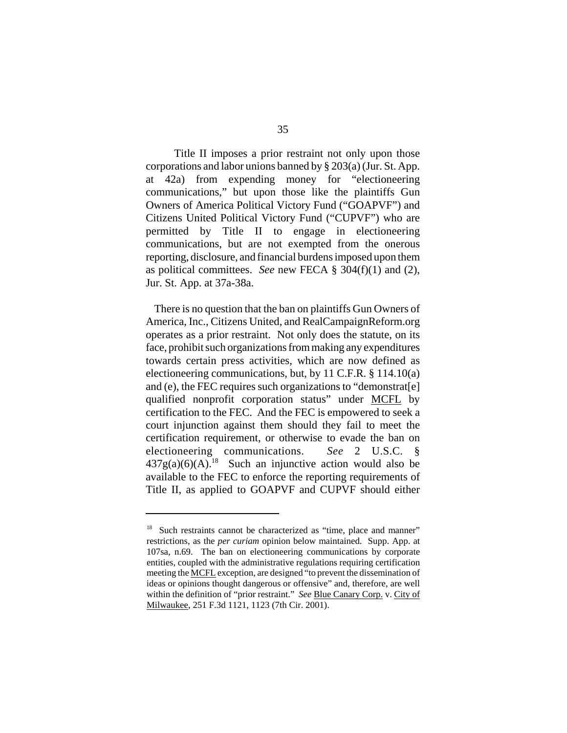Title II imposes a prior restraint not only upon those corporations and labor unions banned by § 203(a) (Jur. St. App. at 42a) from expending money for "electioneering communications," but upon those like the plaintiffs Gun Owners of America Political Victory Fund ("GOAPVF") and Citizens United Political Victory Fund ("CUPVF") who are permitted by Title II to engage in electioneering communications, but are not exempted from the onerous reporting, disclosure, and financial burdens imposed upon them as political committees. *See* new FECA § 304(f)(1) and (2), Jur. St. App. at 37a-38a.

There is no question that the ban on plaintiffs Gun Owners of America, Inc., Citizens United, and RealCampaignReform.org operates as a prior restraint. Not only does the statute, on its face, prohibit such organizations from making any expenditures towards certain press activities, which are now defined as electioneering communications, but, by 11 C.F.R. § 114.10(a) and (e), the FEC requires such organizations to "demonstrat[e] qualified nonprofit corporation status" under MCFL by certification to the FEC. And the FEC is empowered to seek a court injunction against them should they fail to meet the certification requirement, or otherwise to evade the ban on electioneering communications. *See* 2 U.S.C. §  $437g(a)(6)(A)$ <sup>18</sup> Such an injunctive action would also be available to the FEC to enforce the reporting requirements of Title II, as applied to GOAPVF and CUPVF should either

<sup>&</sup>lt;sup>18</sup> Such restraints cannot be characterized as "time, place and manner" restrictions, as the *per curiam* opinion below maintained. Supp. App. at 107sa, n.69. The ban on electioneering communications by corporate entities, coupled with the administrative regulations requiring certification meeting the MCFL exception, are designed "to prevent the dissemination of ideas or opinions thought dangerous or offensive" and, therefore, are well within the definition of "prior restraint." *See* Blue Canary Corp. v. City of Milwaukee, 251 F.3d 1121, 1123 (7th Cir. 2001).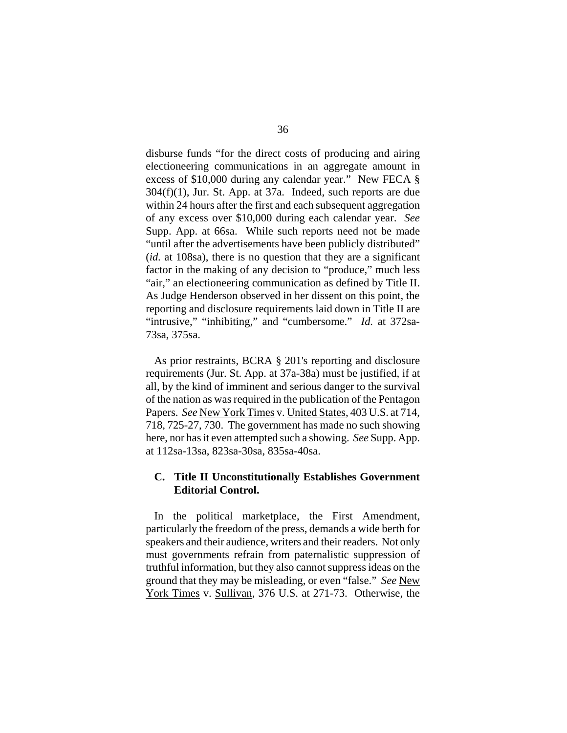disburse funds "for the direct costs of producing and airing electioneering communications in an aggregate amount in excess of \$10,000 during any calendar year." New FECA § 304(f)(1), Jur. St. App. at 37a. Indeed, such reports are due within 24 hours after the first and each subsequent aggregation of any excess over \$10,000 during each calendar year. *See*  Supp. App. at 66sa. While such reports need not be made "until after the advertisements have been publicly distributed" (*id.* at 108sa), there is no question that they are a significant factor in the making of any decision to "produce," much less "air," an electioneering communication as defined by Title II. As Judge Henderson observed in her dissent on this point, the reporting and disclosure requirements laid down in Title II are "intrusive," "inhibiting," and "cumbersome." *Id.* at 372sa-73sa, 375sa.

As prior restraints, BCRA § 201's reporting and disclosure requirements (Jur. St. App. at 37a-38a) must be justified, if at all, by the kind of imminent and serious danger to the survival of the nation as was required in the publication of the Pentagon Papers. *See* New York Times v. United States, 403 U.S. at 714, 718, 725-27, 730. The government has made no such showing here, nor has it even attempted such a showing. *See* Supp. App. at 112sa-13sa, 823sa-30sa, 835sa-40sa.

### **C. Title II Unconstitutionally Establishes Government Editorial Control.**

In the political marketplace, the First Amendment, particularly the freedom of the press, demands a wide berth for speakers and their audience, writers and their readers. Not only must governments refrain from paternalistic suppression of truthful information, but they also cannot suppress ideas on the ground that they may be misleading, or even "false." *See* New York Times v. Sullivan, 376 U.S. at 271-73. Otherwise, the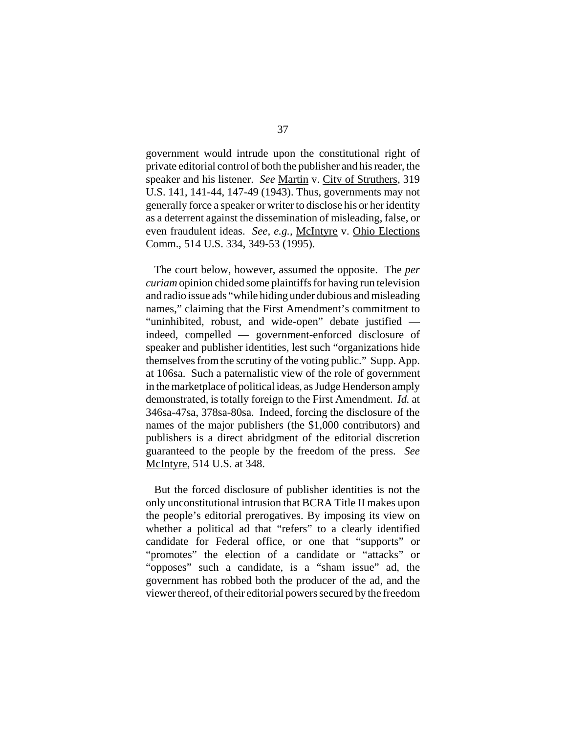government would intrude upon the constitutional right of private editorial control of both the publisher and his reader, the speaker and his listener. *See* Martin v. City of Struthers, 319 U.S. 141, 141-44, 147-49 (1943). Thus, governments may not generally force a speaker or writer to disclose his or her identity as a deterrent against the dissemination of misleading, false, or even fraudulent ideas. *See, e.g.,* McIntyre v. Ohio Elections Comm., 514 U.S. 334, 349-53 (1995).

The court below, however, assumed the opposite. The *per curiam* opinion chided some plaintiffs for having run television and radio issue ads "while hiding under dubious and misleading names," claiming that the First Amendment's commitment to "uninhibited, robust, and wide-open" debate justified indeed, compelled — government-enforced disclosure of speaker and publisher identities, lest such "organizations hide themselves from the scrutiny of the voting public." Supp. App. at 106sa. Such a paternalistic view of the role of government in the marketplace of political ideas, as Judge Henderson amply demonstrated, is totally foreign to the First Amendment. *Id.* at 346sa-47sa, 378sa-80sa. Indeed, forcing the disclosure of the names of the major publishers (the \$1,000 contributors) and publishers is a direct abridgment of the editorial discretion guaranteed to the people by the freedom of the press. *See*  McIntyre, 514 U.S. at 348.

But the forced disclosure of publisher identities is not the only unconstitutional intrusion that BCRA Title II makes upon the people's editorial prerogatives. By imposing its view on whether a political ad that "refers" to a clearly identified candidate for Federal office, or one that "supports" or "promotes" the election of a candidate or "attacks" or "opposes" such a candidate, is a "sham issue" ad, the government has robbed both the producer of the ad, and the viewer thereof, of their editorial powers secured by the freedom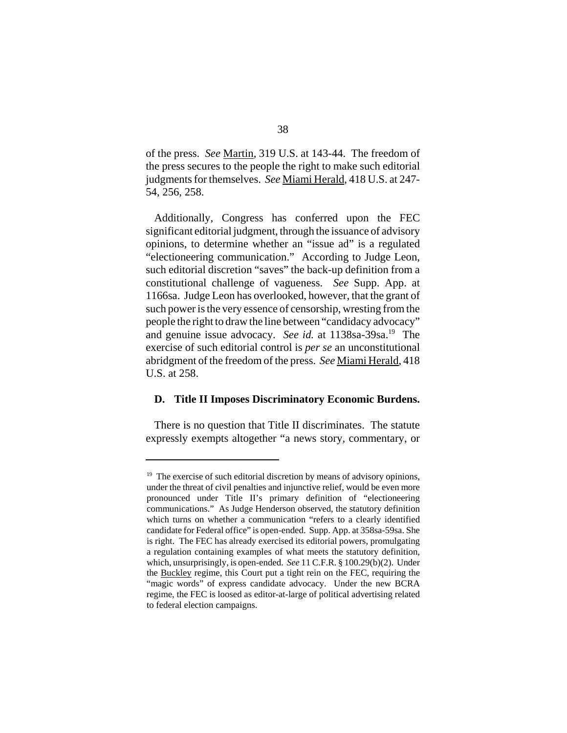of the press. *See* Martin, 319 U.S. at 143-44. The freedom of the press secures to the people the right to make such editorial judgments for themselves. *See* Miami Herald, 418 U.S. at 247- 54, 256, 258.

Additionally, Congress has conferred upon the FEC significant editorial judgment, through the issuance of advisory opinions, to determine whether an "issue ad" is a regulated "electioneering communication." According to Judge Leon, such editorial discretion "saves" the back-up definition from a constitutional challenge of vagueness. *See* Supp. App. at 1166sa. Judge Leon has overlooked, however, that the grant of such power is the very essence of censorship, wresting from the people the right to draw the line between "candidacy advocacy" and genuine issue advocacy. *See id.* at 1138sa-39sa.19 The exercise of such editorial control is *per se* an unconstitutional abridgment of the freedom of the press. *See* Miami Herald, 418 U.S. at 258.

#### **D. Title II Imposes Discriminatory Economic Burdens.**

There is no question that Title II discriminates. The statute expressly exempts altogether "a news story, commentary, or

 $19$  The exercise of such editorial discretion by means of advisory opinions, under the threat of civil penalties and injunctive relief, would be even more pronounced under Title II's primary definition of "electioneering communications." As Judge Henderson observed, the statutory definition which turns on whether a communication "refers to a clearly identified candidate for Federal office" is open-ended. Supp. App. at 358sa-59sa. She is right. The FEC has already exercised its editorial powers, promulgating a regulation containing examples of what meets the statutory definition, which, unsurprisingly, is open-ended. *See* 11 C.F.R. § 100.29(b)(2). Under the Buckley regime, this Court put a tight rein on the FEC, requiring the "magic words" of express candidate advocacy. Under the new BCRA regime, the FEC is loosed as editor-at-large of political advertising related to federal election campaigns.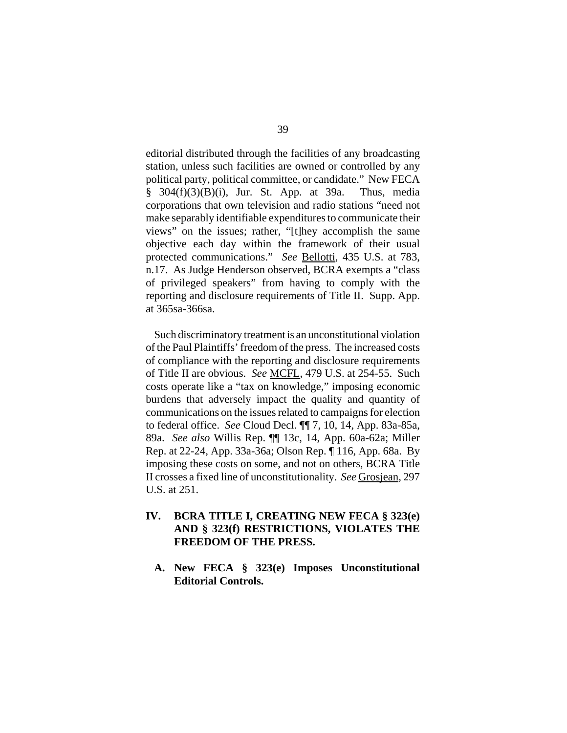editorial distributed through the facilities of any broadcasting station, unless such facilities are owned or controlled by any political party, political committee, or candidate." New FECA § 304(f)(3)(B)(i), Jur. St. App. at 39a. Thus, media corporations that own television and radio stations "need not make separably identifiable expenditures to communicate their views" on the issues; rather, "[t]hey accomplish the same objective each day within the framework of their usual protected communications." *See Bellotti*, 435 U.S. at 783, n.17. As Judge Henderson observed, BCRA exempts a "class of privileged speakers" from having to comply with the reporting and disclosure requirements of Title II. Supp. App. at 365sa-366sa.

Such discriminatory treatment is an unconstitutional violation of the Paul Plaintiffs' freedom of the press. The increased costs of compliance with the reporting and disclosure requirements of Title II are obvious. *See* MCFL, 479 U.S. at 254-55. Such costs operate like a "tax on knowledge," imposing economic burdens that adversely impact the quality and quantity of communications on the issues related to campaigns for election to federal office. *See* Cloud Decl. ¶¶ 7, 10, 14, App. 83a-85a, 89a. *See also* Willis Rep. ¶¶ 13c, 14, App. 60a-62a; Miller Rep. at 22-24, App. 33a-36a; Olson Rep. ¶ 116, App. 68a. By imposing these costs on some, and not on others, BCRA Title II crosses a fixed line of unconstitutionality. *See* Grosjean, 297 U.S. at 251.

- **IV. BCRA TITLE I, CREATING NEW FECA § 323(e) AND § 323(f) RESTRICTIONS, VIOLATES THE FREEDOM OF THE PRESS.** 
	- **A. New FECA § 323(e) Imposes Unconstitutional Editorial Controls.**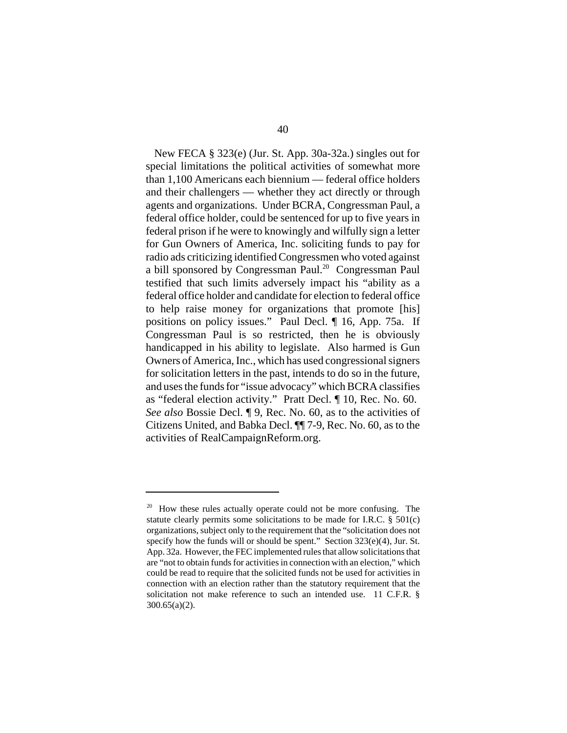New FECA § 323(e) (Jur. St. App. 30a-32a.) singles out for special limitations the political activities of somewhat more than 1,100 Americans each biennium — federal office holders and their challengers — whether they act directly or through agents and organizations. Under BCRA, Congressman Paul, a federal office holder, could be sentenced for up to five years in federal prison if he were to knowingly and wilfully sign a letter for Gun Owners of America, Inc. soliciting funds to pay for radio ads criticizing identified Congressmen who voted against a bill sponsored by Congressman Paul.<sup>20</sup> Congressman Paul testified that such limits adversely impact his "ability as a federal office holder and candidate for election to federal office to help raise money for organizations that promote [his] positions on policy issues." Paul Decl. ¶ 16, App. 75a. If Congressman Paul is so restricted, then he is obviously handicapped in his ability to legislate. Also harmed is Gun Owners of America, Inc., which has used congressional signers for solicitation letters in the past, intends to do so in the future, and uses the funds for "issue advocacy" which BCRA classifies as "federal election activity." Pratt Decl. ¶ 10, Rec. No. 60. *See also* Bossie Decl. ¶ 9, Rec. No. 60, as to the activities of Citizens United, and Babka Decl. ¶¶ 7-9, Rec. No. 60, as to the activities of RealCampaignReform.org.

 $20$  How these rules actually operate could not be more confusing. The statute clearly permits some solicitations to be made for I.R.C.  $\S$  501(c) organizations, subject only to the requirement that the "solicitation does not specify how the funds will or should be spent." Section  $323(e)(4)$ , Jur. St. App. 32a. However, the FEC implemented rules that allow solicitations that are "not to obtain funds for activities in connection with an election," which could be read to require that the solicited funds not be used for activities in connection with an election rather than the statutory requirement that the solicitation not make reference to such an intended use. 11 C.F.R. § 300.65(a)(2).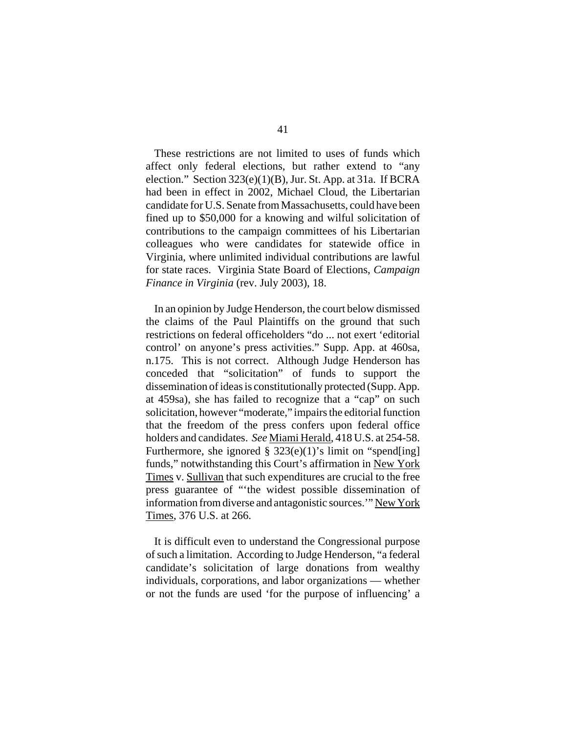These restrictions are not limited to uses of funds which affect only federal elections, but rather extend to "any election." Section 323(e)(1)(B), Jur. St. App. at 31a. If BCRA had been in effect in 2002, Michael Cloud, the Libertarian candidate for U.S. Senate from Massachusetts, could have been fined up to \$50,000 for a knowing and wilful solicitation of contributions to the campaign committees of his Libertarian colleagues who were candidates for statewide office in Virginia, where unlimited individual contributions are lawful for state races. Virginia State Board of Elections, *Campaign Finance in Virginia* (rev. July 2003), 18.

In an opinion by Judge Henderson, the court below dismissed the claims of the Paul Plaintiffs on the ground that such restrictions on federal officeholders "do ... not exert 'editorial control' on anyone's press activities." Supp. App. at 460sa, n.175. This is not correct. Although Judge Henderson has conceded that "solicitation" of funds to support the dissemination of ideas is constitutionally protected (Supp. App. at 459sa), she has failed to recognize that a "cap" on such solicitation, however "moderate," impairs the editorial function that the freedom of the press confers upon federal office holders and candidates. *See* Miami Herald, 418 U.S. at 254-58. Furthermore, she ignored  $\S$  323(e)(1)'s limit on "spend[ing] funds," notwithstanding this Court's affirmation in New York Times v. Sullivan that such expenditures are crucial to the free press guarantee of "'the widest possible dissemination of information from diverse and antagonistic sources.'" New York Times, 376 U.S. at 266.

It is difficult even to understand the Congressional purpose of such a limitation. According to Judge Henderson, "a federal candidate's solicitation of large donations from wealthy individuals, corporations, and labor organizations — whether or not the funds are used 'for the purpose of influencing' a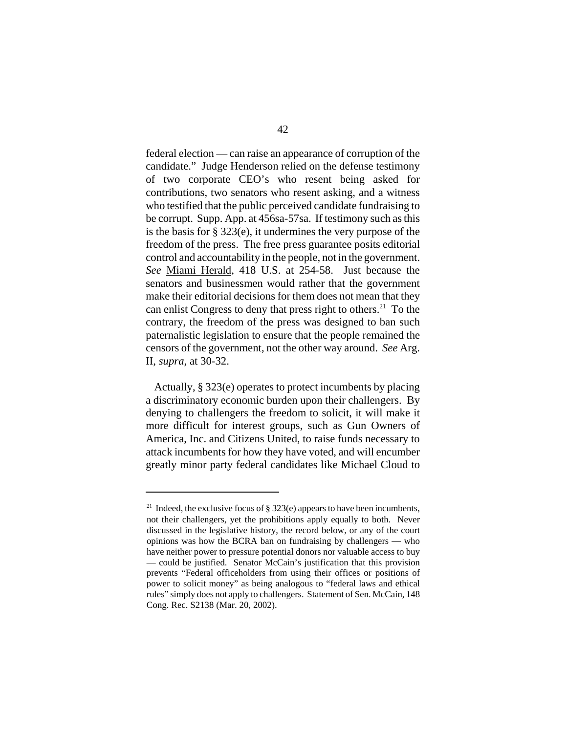federal election — can raise an appearance of corruption of the candidate." Judge Henderson relied on the defense testimony of two corporate CEO's who resent being asked for contributions, two senators who resent asking, and a witness who testified that the public perceived candidate fundraising to be corrupt. Supp. App. at 456sa-57sa. If testimony such as this is the basis for § 323(e), it undermines the very purpose of the freedom of the press. The free press guarantee posits editorial control and accountability in the people, not in the government. *See* Miami Herald, 418 U.S. at 254-58. Just because the senators and businessmen would rather that the government make their editorial decisions for them does not mean that they can enlist Congress to deny that press right to others.<sup>21</sup> To the contrary, the freedom of the press was designed to ban such paternalistic legislation to ensure that the people remained the censors of the government, not the other way around. *See* Arg. II, *supra*, at 30-32.

Actually, § 323(e) operates to protect incumbents by placing a discriminatory economic burden upon their challengers. By denying to challengers the freedom to solicit, it will make it more difficult for interest groups, such as Gun Owners of America, Inc. and Citizens United, to raise funds necessary to attack incumbents for how they have voted, and will encumber greatly minor party federal candidates like Michael Cloud to

<sup>&</sup>lt;sup>21</sup> Indeed, the exclusive focus of  $\S 323(e)$  appears to have been incumbents, not their challengers, yet the prohibitions apply equally to both. Never discussed in the legislative history, the record below, or any of the court opinions was how the BCRA ban on fundraising by challengers — who have neither power to pressure potential donors nor valuable access to buy — could be justified. Senator McCain's justification that this provision prevents "Federal officeholders from using their offices or positions of power to solicit money" as being analogous to "federal laws and ethical rules" simply does not apply to challengers. Statement of Sen. McCain, 148 Cong. Rec. S2138 (Mar. 20, 2002).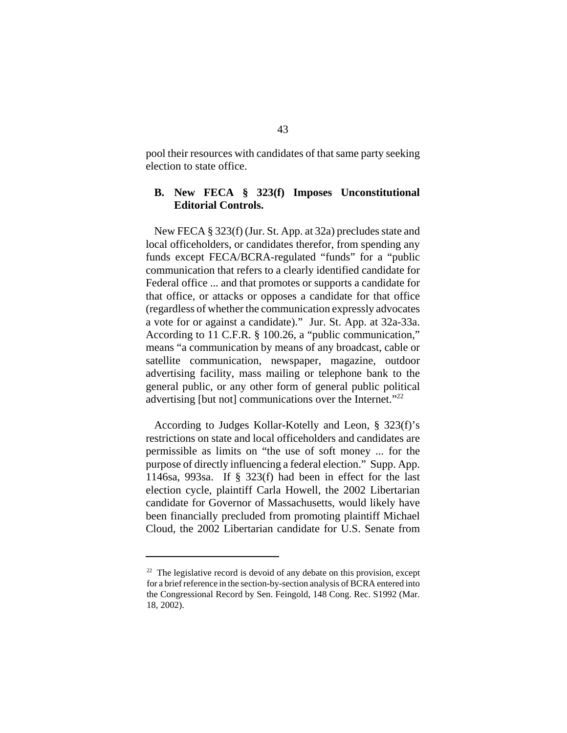pool their resources with candidates of that same party seeking election to state office.

### **B. New FECA § 323(f) Imposes Unconstitutional Editorial Controls.**

New FECA § 323(f) (Jur. St. App. at 32a) precludes state and local officeholders, or candidates therefor, from spending any funds except FECA/BCRA-regulated "funds" for a "public communication that refers to a clearly identified candidate for Federal office ... and that promotes or supports a candidate for that office, or attacks or opposes a candidate for that office (regardless of whether the communication expressly advocates a vote for or against a candidate)." Jur. St. App. at 32a-33a. According to 11 C.F.R. § 100.26, a "public communication," means "a communication by means of any broadcast, cable or satellite communication, newspaper, magazine, outdoor advertising facility, mass mailing or telephone bank to the general public, or any other form of general public political advertising [but not] communications over the Internet."22

According to Judges Kollar-Kotelly and Leon, § 323(f)'s restrictions on state and local officeholders and candidates are permissible as limits on "the use of soft money ... for the purpose of directly influencing a federal election." Supp. App. 1146sa, 993sa. If § 323(f) had been in effect for the last election cycle, plaintiff Carla Howell, the 2002 Libertarian candidate for Governor of Massachusetts, would likely have been financially precluded from promoting plaintiff Michael Cloud, the 2002 Libertarian candidate for U.S. Senate from

 $22$  The legislative record is devoid of any debate on this provision, except for a brief reference in the section-by-section analysis of BCRA entered into the Congressional Record by Sen. Feingold, 148 Cong. Rec. S1992 (Mar. 18, 2002).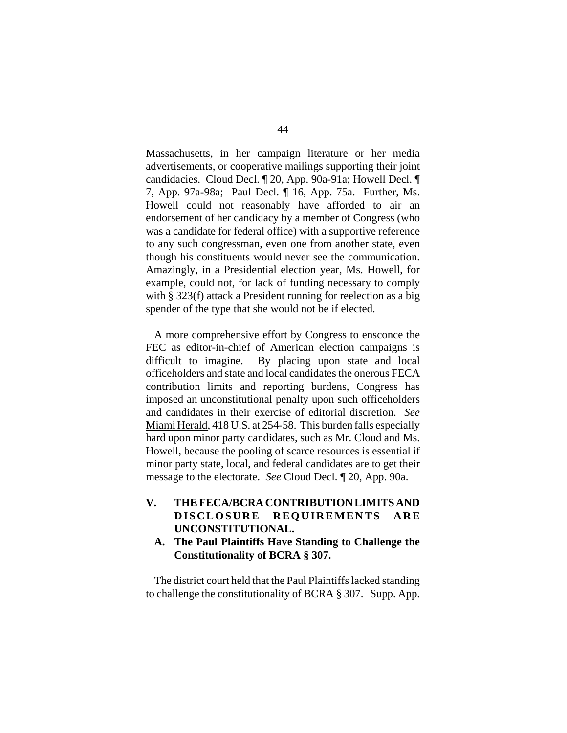Massachusetts, in her campaign literature or her media advertisements, or cooperative mailings supporting their joint candidacies. Cloud Decl. ¶ 20, App. 90a-91a; Howell Decl. ¶ 7, App. 97a-98a; Paul Decl. ¶ 16, App. 75a. Further, Ms. Howell could not reasonably have afforded to air an endorsement of her candidacy by a member of Congress (who was a candidate for federal office) with a supportive reference to any such congressman, even one from another state, even though his constituents would never see the communication. Amazingly, in a Presidential election year, Ms. Howell, for example, could not, for lack of funding necessary to comply with § 323(f) attack a President running for reelection as a big spender of the type that she would not be if elected.

A more comprehensive effort by Congress to ensconce the FEC as editor-in-chief of American election campaigns is difficult to imagine. By placing upon state and local officeholders and state and local candidates the onerous FECA contribution limits and reporting burdens, Congress has imposed an unconstitutional penalty upon such officeholders and candidates in their exercise of editorial discretion. *See*  Miami Herald, 418 U.S. at 254-58. This burden falls especially hard upon minor party candidates, such as Mr. Cloud and Ms. Howell, because the pooling of scarce resources is essential if minor party state, local, and federal candidates are to get their message to the electorate. *See* Cloud Decl. ¶ 20, App. 90a.

- **V. THE FECA/BCRA CONTRIBUTION LIMITS AND DISCLOSURE REQ UI REMENTS ARE UNCONSTITUTIONAL.** 
	- **A. The Paul Plaintiffs Have Standing to Challenge the Constitutionality of BCRA § 307.**

The district court held that the Paul Plaintiffs lacked standing to challenge the constitutionality of BCRA § 307. Supp. App.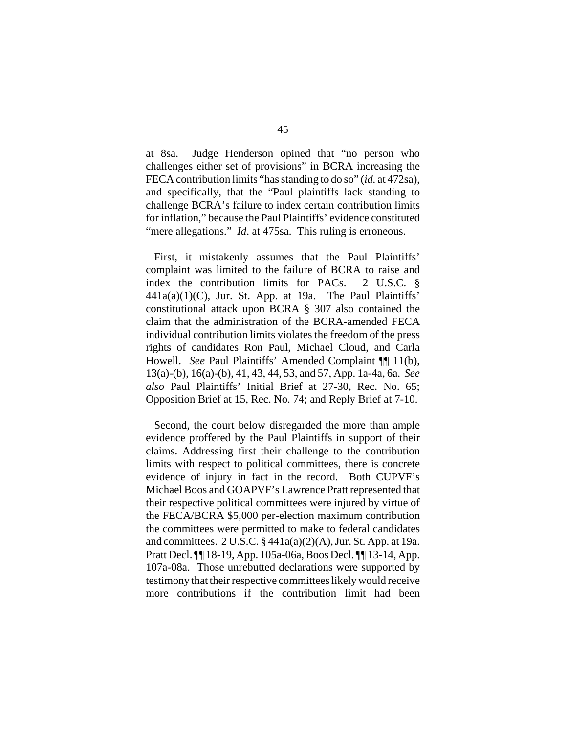at 8sa. Judge Henderson opined that "no person who challenges either set of provisions" in BCRA increasing the FECA contribution limits "has standing to do so" (*id.* at 472sa), and specifically, that the "Paul plaintiffs lack standing to challenge BCRA's failure to index certain contribution limits for inflation," because the Paul Plaintiffs' evidence constituted "mere allegations." *Id.* at 475sa. This ruling is erroneous.

First, it mistakenly assumes that the Paul Plaintiffs' complaint was limited to the failure of BCRA to raise and index the contribution limits for PACs. 2 U.S.C. §  $441a(a)(1)(C)$ , Jur. St. App. at 19a. The Paul Plaintiffs' constitutional attack upon BCRA § 307 also contained the claim that the administration of the BCRA-amended FECA individual contribution limits violates the freedom of the press rights of candidates Ron Paul, Michael Cloud, and Carla Howell. *See* Paul Plaintiffs' Amended Complaint ¶¶ 11(b), 13(a)-(b), 16(a)-(b), 41, 43, 44, 53, and 57, App. 1a-4a, 6a. *See also* Paul Plaintiffs' Initial Brief at 27-30, Rec. No. 65; Opposition Brief at 15, Rec. No. 74; and Reply Brief at 7-10.

Second, the court below disregarded the more than ample evidence proffered by the Paul Plaintiffs in support of their claims. Addressing first their challenge to the contribution limits with respect to political committees, there is concrete evidence of injury in fact in the record. Both CUPVF's Michael Boos and GOAPVF's Lawrence Pratt represented that their respective political committees were injured by virtue of the FECA/BCRA \$5,000 per-election maximum contribution the committees were permitted to make to federal candidates and committees. 2 U.S.C. § 441a(a)(2)(A), Jur. St. App. at 19a. Pratt Decl. ¶¶ 18-19, App. 105a-06a, Boos Decl. ¶¶ 13-14, App. 107a-08a. Those unrebutted declarations were supported by testimony that their respective committees likely would receive more contributions if the contribution limit had been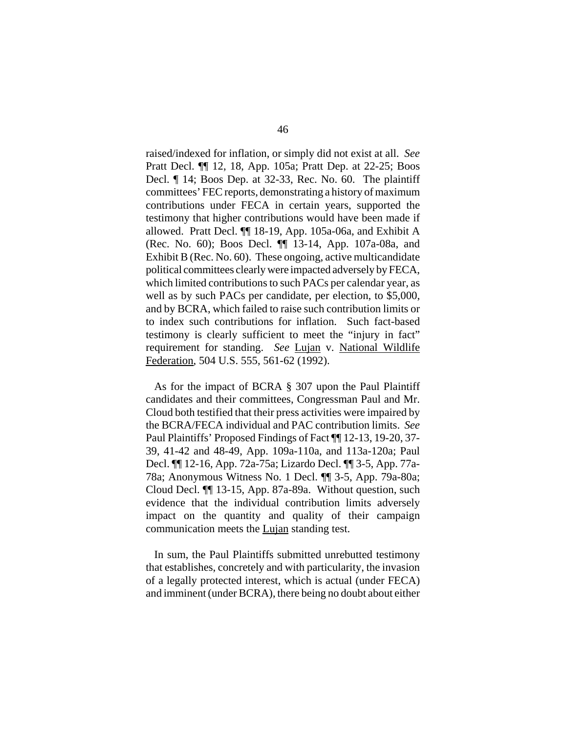raised/indexed for inflation, or simply did not exist at all. *See*  Pratt Decl. ¶¶ 12, 18, App. 105a; Pratt Dep. at 22-25; Boos Decl. ¶ 14; Boos Dep. at 32-33, Rec. No. 60. The plaintiff committees' FEC reports, demonstrating a history of maximum contributions under FECA in certain years, supported the testimony that higher contributions would have been made if allowed. Pratt Decl. ¶¶ 18-19, App. 105a-06a, and Exhibit A (Rec. No. 60); Boos Decl. ¶¶ 13-14, App. 107a-08a, and Exhibit B (Rec. No. 60). These ongoing, active multicandidate political committees clearly were impacted adversely by FECA, which limited contributions to such PACs per calendar year, as well as by such PACs per candidate, per election, to \$5,000, and by BCRA, which failed to raise such contribution limits or to index such contributions for inflation. Such fact-based testimony is clearly sufficient to meet the "injury in fact" requirement for standing. *See* Lujan v. National Wildlife Federation, 504 U.S. 555, 561-62 (1992).

As for the impact of BCRA § 307 upon the Paul Plaintiff candidates and their committees, Congressman Paul and Mr. Cloud both testified that their press activities were impaired by the BCRA/FECA individual and PAC contribution limits. *See*  Paul Plaintiffs' Proposed Findings of Fact ¶¶ 12-13, 19-20, 37- 39, 41-42 and 48-49, App. 109a-110a, and 113a-120a; Paul Decl. ¶¶ 12-16, App. 72a-75a; Lizardo Decl. ¶¶ 3-5, App. 77a-78a; Anonymous Witness No. 1 Decl. ¶¶ 3-5, App. 79a-80a; Cloud Decl. ¶¶ 13-15, App. 87a-89a. Without question, such evidence that the individual contribution limits adversely impact on the quantity and quality of their campaign communication meets the Lujan standing test.

In sum, the Paul Plaintiffs submitted unrebutted testimony that establishes, concretely and with particularity, the invasion of a legally protected interest, which is actual (under FECA) and imminent (under BCRA), there being no doubt about either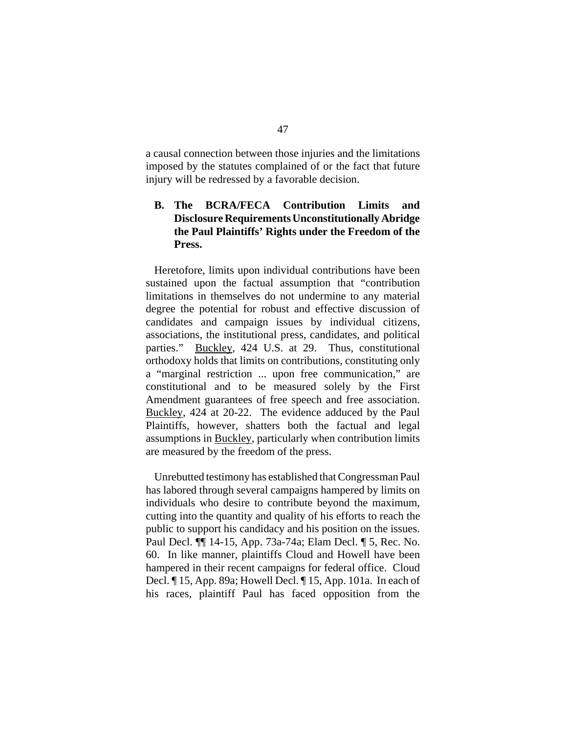a causal connection between those injuries and the limitations imposed by the statutes complained of or the fact that future injury will be redressed by a favorable decision.

## **B. The BCRA/FECA Contribution Limits and Disclosure Requirements Unconstitutionally Abridge the Paul Plaintiffs' Rights under the Freedom of the Press.**

Heretofore, limits upon individual contributions have been sustained upon the factual assumption that "contribution limitations in themselves do not undermine to any material degree the potential for robust and effective discussion of candidates and campaign issues by individual citizens, associations, the institutional press, candidates, and political parties." Buckley, 424 U.S. at 29. Thus, constitutional orthodoxy holds that limits on contributions, constituting only a "marginal restriction ... upon free communication," are constitutional and to be measured solely by the First Amendment guarantees of free speech and free association. Buckley, 424 at 20-22. The evidence adduced by the Paul Plaintiffs, however, shatters both the factual and legal assumptions in Buckley, particularly when contribution limits are measured by the freedom of the press.

Unrebutted testimony has established that Congressman Paul has labored through several campaigns hampered by limits on individuals who desire to contribute beyond the maximum, cutting into the quantity and quality of his efforts to reach the public to support his candidacy and his position on the issues. Paul Decl. ¶¶ 14-15, App. 73a-74a; Elam Decl. ¶ 5, Rec. No. 60. In like manner, plaintiffs Cloud and Howell have been hampered in their recent campaigns for federal office. Cloud Decl. ¶ 15, App. 89a; Howell Decl. ¶ 15, App. 101a. In each of his races, plaintiff Paul has faced opposition from the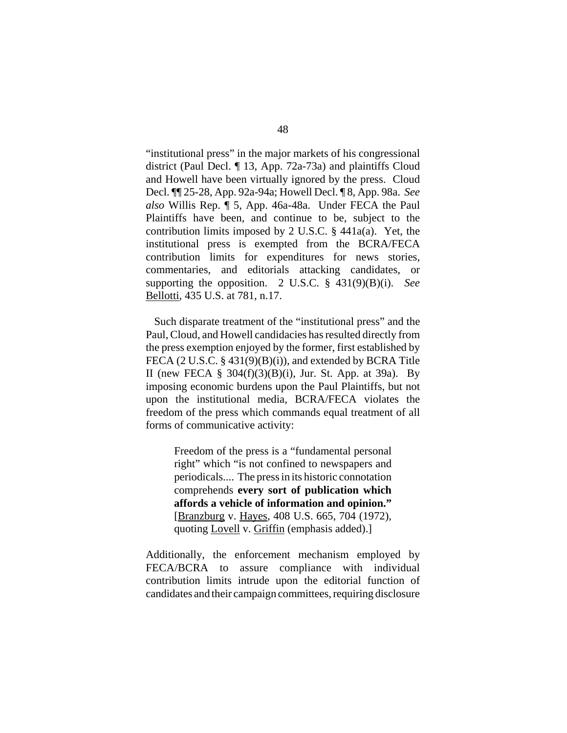"institutional press" in the major markets of his congressional district (Paul Decl. ¶ 13, App. 72a-73a) and plaintiffs Cloud and Howell have been virtually ignored by the press. Cloud Decl. ¶¶ 25-28, App. 92a-94a; Howell Decl. ¶ 8, App. 98a. *See also* Willis Rep. ¶ 5, App. 46a-48a. Under FECA the Paul Plaintiffs have been, and continue to be, subject to the contribution limits imposed by 2 U.S.C. § 441a(a). Yet, the institutional press is exempted from the BCRA/FECA contribution limits for expenditures for news stories, commentaries, and editorials attacking candidates, or supporting the opposition. 2 U.S.C. § 431(9)(B)(i). *See*  Bellotti, 435 U.S. at 781, n.17.

Such disparate treatment of the "institutional press" and the Paul, Cloud, and Howell candidacies has resulted directly from the press exemption enjoyed by the former, first established by FECA (2 U.S.C. § 431(9)(B)(i)), and extended by BCRA Title II (new FECA  $\S$  304(f)(3)(B)(i), Jur. St. App. at 39a). By imposing economic burdens upon the Paul Plaintiffs, but not upon the institutional media, BCRA/FECA violates the freedom of the press which commands equal treatment of all forms of communicative activity:

> Freedom of the press is a "fundamental personal right" which "is not confined to newspapers and periodicals.... The press in its historic connotation comprehends **every sort of publication which affords a vehicle of information and opinion."**  [Branzburg v. Hayes, 408 U.S. 665, 704 (1972), quoting Lovell v. Griffin (emphasis added).]

Additionally, the enforcement mechanism employed by FECA/BCRA to assure compliance with individual contribution limits intrude upon the editorial function of candidates and their campaign committees, requiring disclosure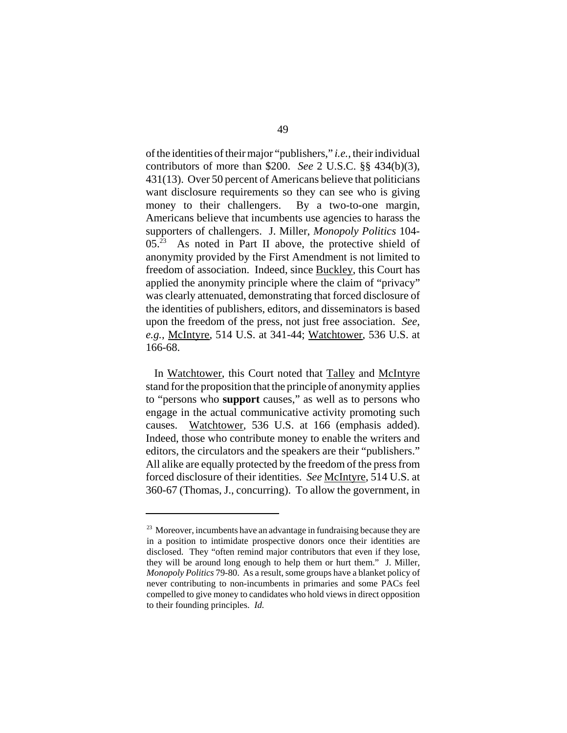of the identities of their major "publishers," *i.e.*, their individual contributors of more than \$200. *See* 2 U.S.C. §§ 434(b)(3), 431(13). Over 50 percent of Americans believe that politicians want disclosure requirements so they can see who is giving money to their challengers. By a two-to-one margin, Americans believe that incumbents use agencies to harass the supporters of challengers. J. Miller, *Monopoly Politics* 104-  $05.<sup>23</sup>$  As noted in Part II above, the protective shield of anonymity provided by the First Amendment is not limited to freedom of association. Indeed, since Buckley, this Court has applied the anonymity principle where the claim of "privacy" was clearly attenuated, demonstrating that forced disclosure of the identities of publishers, editors, and disseminators is based upon the freedom of the press, not just free association. *See, e.g.,* McIntyre, 514 U.S. at 341-44; Watchtower, 536 U.S. at 166-68.

In Watchtower, this Court noted that Talley and McIntyre stand for the proposition that the principle of anonymity applies to "persons who **support** causes," as well as to persons who engage in the actual communicative activity promoting such causes. Watchtower, 536 U.S. at 166 (emphasis added). Indeed, those who contribute money to enable the writers and editors, the circulators and the speakers are their "publishers." All alike are equally protected by the freedom of the press from forced disclosure of their identities. *See* McIntyre, 514 U.S. at 360-67 (Thomas, J., concurring). To allow the government, in

<sup>&</sup>lt;sup>23</sup> Moreover, incumbents have an advantage in fundraising because they are in a position to intimidate prospective donors once their identities are disclosed. They "often remind major contributors that even if they lose, they will be around long enough to help them or hurt them." J. Miller, *Monopoly Politics* 79-80. As a result, some groups have a blanket policy of never contributing to non-incumbents in primaries and some PACs feel compelled to give money to candidates who hold views in direct opposition to their founding principles. *Id.*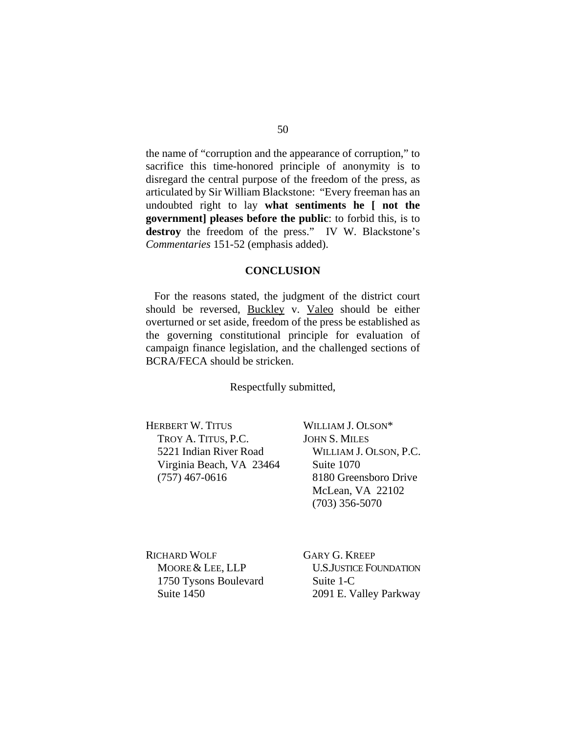the name of "corruption and the appearance of corruption," to sacrifice this time-honored principle of anonymity is to disregard the central purpose of the freedom of the press, as articulated by Sir William Blackstone: "Every freeman has an undoubted right to lay **what sentiments he [ not the government] pleases before the public**: to forbid this, is to destroy the freedom of the press." IV W. Blackstone's *Commentaries* 151-52 (emphasis added).

#### **CONCLUSION**

For the reasons stated, the judgment of the district court should be reversed, Buckley v. Valeo should be either overturned or set aside, freedom of the press be established as the governing constitutional principle for evaluation of campaign finance legislation, and the challenged sections of BCRA/FECA should be stricken.

Respectfully submitted,

HERBERT W. TITUS TROY A. TITUS, P.C. 5221 Indian River Road Virginia Beach, VA 23464 (757) 467-0616

WILLIAM J. OLSON\* JOHN S. MILES WILLIAM J. OLSON, P.C. Suite 1070 8180 Greensboro Drive McLean, VA 22102 (703) 356-5070

RICHARD WOLF MOORE & LEE, LLP 1750 Tysons Boulevard Suite 1450

GARY G. KREEP U.S.JUSTICE FOUNDATION Suite 1-C 2091 E. Valley Parkway